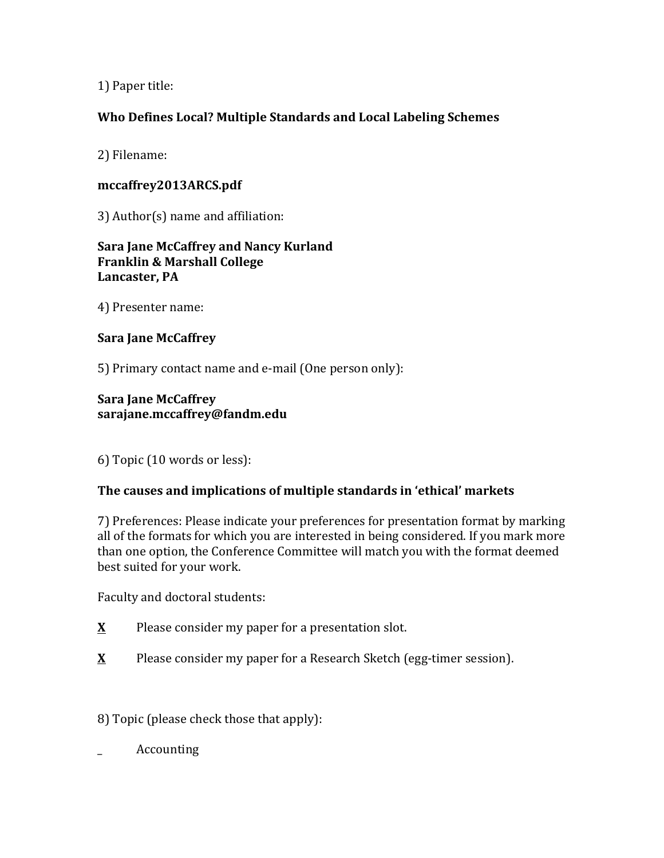1) Paper title:

# **Who Defines Local? Multiple Standards and Local Labeling Schemes**

2) Filename:

# **mccaffrey2013ARCS.pdf**

 $3)$  Author(s) name and affiliation:

**Sara Jane McCaffrey and Nancy Kurland Franklin & Marshall College** Lancaster, PA

4) Presenter name:

## **Sara Jane McCaffrey**

5) Primary contact name and e-mail (One person only):

## **Sara Jane McCaffrey sarajane.mccaffrey@fandm.edu**

6) Topic (10 words or less):

## The causes and implications of multiple standards in 'ethical' markets

7) Preferences: Please indicate your preferences for presentation format by marking all of the formats for which you are interested in being considered. If you mark more than one option, the Conference Committee will match you with the format deemed best suited for your work.

Faculty and doctoral students:

- **<u>X</u>** Please consider my paper for a presentation slot.
- **X** Please consider my paper for a Research Sketch (egg-timer session).

8) Topic (please check those that apply):

Accounting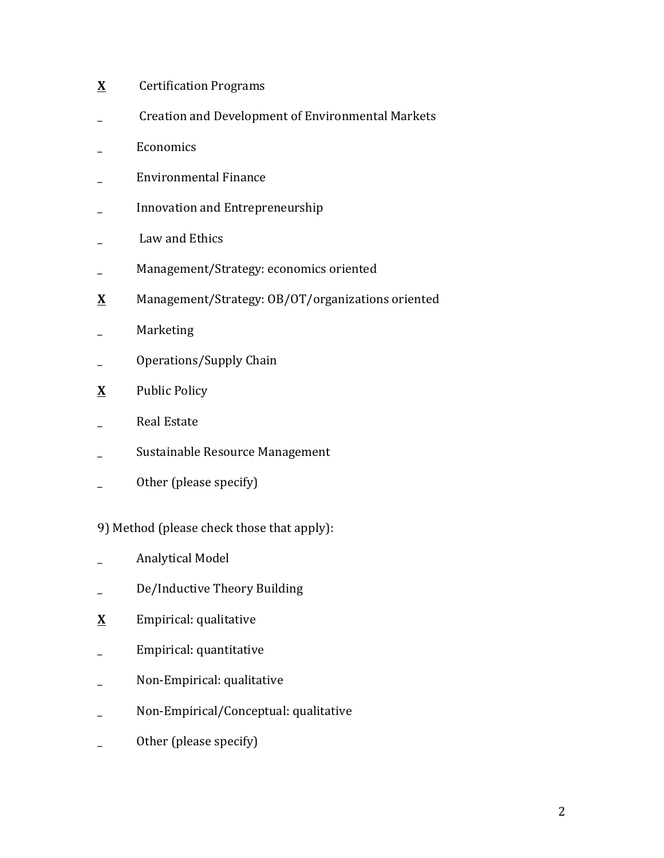- **X** Certification Programs
- Creation and Development of Environmental Markets
- \_ Economics
- Environmental Finance
- \_ Innovation and Entrepreneurship
- \_ Law and Ethics
- \_ Management/Strategy: economics oriented
- **X** Management/Strategy: OB/OT/organizations oriented
- \_ Marketing
- \_ Operations/Supply Chain
- **<u>X</u>** Public Policy
- \_ Real Estate
- \_ Sustainable Resource Management
- Other (please specify)
- 9) Method (please check those that apply):
- \_ Analytical Model
- \_ De/Inductive Theory Building
- **X** Empirical: qualitative
- \_ Empirical: quantitative
- Non-Empirical: qualitative
- Non-Empirical/Conceptual: qualitative
- \_ Other (please specify)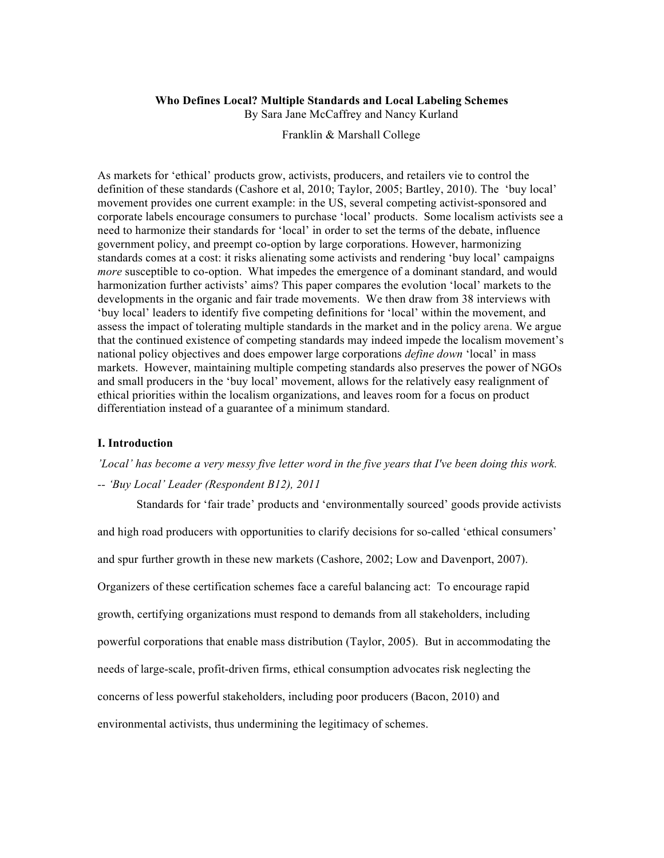#### **Who Defines Local? Multiple Standards and Local Labeling Schemes**

By Sara Jane McCaffrey and Nancy Kurland

Franklin & Marshall College

As markets for 'ethical' products grow, activists, producers, and retailers vie to control the definition of these standards (Cashore et al, 2010; Taylor, 2005; Bartley, 2010). The 'buy local' movement provides one current example: in the US, several competing activist-sponsored and corporate labels encourage consumers to purchase 'local' products. Some localism activists see a need to harmonize their standards for 'local' in order to set the terms of the debate, influence government policy, and preempt co-option by large corporations. However, harmonizing standards comes at a cost: it risks alienating some activists and rendering 'buy local' campaigns *more* susceptible to co-option. What impedes the emergence of a dominant standard, and would harmonization further activists' aims? This paper compares the evolution 'local' markets to the developments in the organic and fair trade movements. We then draw from 38 interviews with 'buy local' leaders to identify five competing definitions for 'local' within the movement, and assess the impact of tolerating multiple standards in the market and in the policy arena. We argue that the continued existence of competing standards may indeed impede the localism movement's national policy objectives and does empower large corporations *define down* 'local' in mass markets. However, maintaining multiple competing standards also preserves the power of NGOs and small producers in the 'buy local' movement, allows for the relatively easy realignment of ethical priorities within the localism organizations, and leaves room for a focus on product differentiation instead of a guarantee of a minimum standard.

#### **I. Introduction**

*'Local' has become a very messy five letter word in the five years that I've been doing this work. -- 'Buy Local' Leader (Respondent B12), 2011*

Standards for 'fair trade' products and 'environmentally sourced' goods provide activists and high road producers with opportunities to clarify decisions for so-called 'ethical consumers' and spur further growth in these new markets (Cashore, 2002; Low and Davenport, 2007). Organizers of these certification schemes face a careful balancing act: To encourage rapid growth, certifying organizations must respond to demands from all stakeholders, including powerful corporations that enable mass distribution (Taylor, 2005). But in accommodating the needs of large-scale, profit-driven firms, ethical consumption advocates risk neglecting the concerns of less powerful stakeholders, including poor producers (Bacon, 2010) and environmental activists, thus undermining the legitimacy of schemes.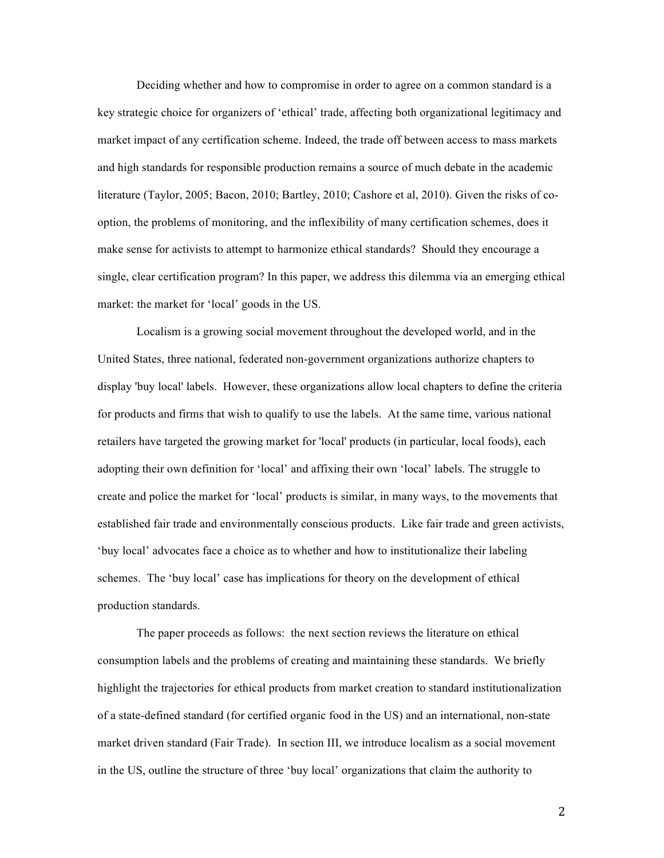Deciding whether and how to compromise in order to agree on a common standard is a key strategic choice for organizers of 'ethical' trade, affecting both organizational legitimacy and market impact of any certification scheme. Indeed, the trade off between access to mass markets and high standards for responsible production remains a source of much debate in the academic literature (Taylor, 2005; Bacon, 2010; Bartley, 2010; Cashore et al, 2010). Given the risks of cooption, the problems of monitoring, and the inflexibility of many certification schemes, does it make sense for activists to attempt to harmonize ethical standards? Should they encourage a single, clear certification program? In this paper, we address this dilemma via an emerging ethical market: the market for 'local' goods in the US.

Localism is a growing social movement throughout the developed world, and in the United States, three national, federated non-government organizations authorize chapters to display 'buy local' labels. However, these organizations allow local chapters to define the criteria for products and firms that wish to qualify to use the labels. At the same time, various national retailers have targeted the growing market for 'local' products (in particular, local foods), each adopting their own definition for 'local' and affixing their own 'local' labels. The struggle to create and police the market for 'local' products is similar, in many ways, to the movements that established fair trade and environmentally conscious products. Like fair trade and green activists, 'buy local' advocates face a choice as to whether and how to institutionalize their labeling schemes. The 'buy local' case has implications for theory on the development of ethical production standards.

The paper proceeds as follows: the next section reviews the literature on ethical consumption labels and the problems of creating and maintaining these standards. We briefly highlight the trajectories for ethical products from market creation to standard institutionalization of a state-defined standard (for certified organic food in the US) and an international, non-state market driven standard (Fair Trade). In section III, we introduce localism as a social movement in the US, outline the structure of three 'buy local' organizations that claim the authority to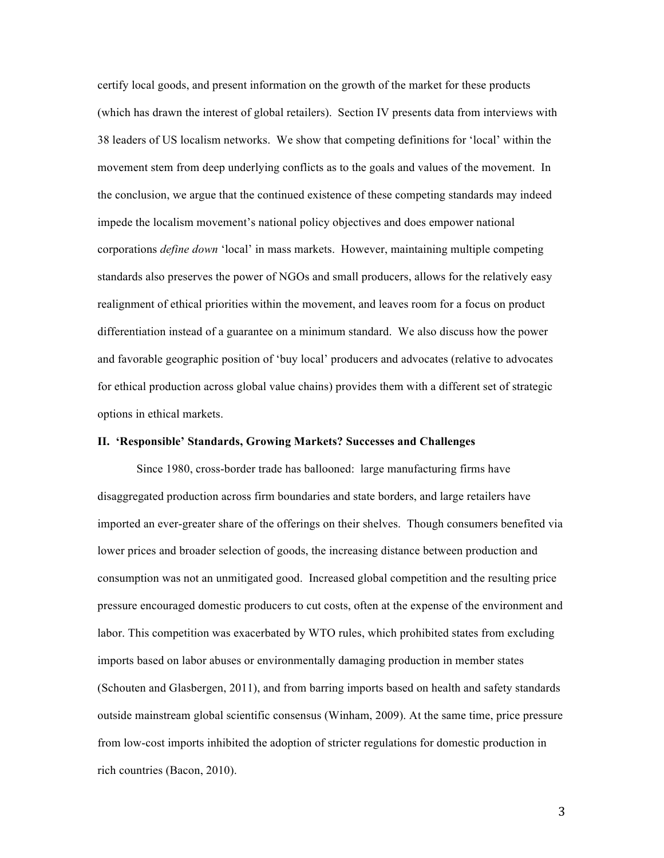certify local goods, and present information on the growth of the market for these products (which has drawn the interest of global retailers). Section IV presents data from interviews with 38 leaders of US localism networks. We show that competing definitions for 'local' within the movement stem from deep underlying conflicts as to the goals and values of the movement. In the conclusion, we argue that the continued existence of these competing standards may indeed impede the localism movement's national policy objectives and does empower national corporations *define down* 'local' in mass markets. However, maintaining multiple competing standards also preserves the power of NGOs and small producers, allows for the relatively easy realignment of ethical priorities within the movement, and leaves room for a focus on product differentiation instead of a guarantee on a minimum standard. We also discuss how the power and favorable geographic position of 'buy local' producers and advocates (relative to advocates for ethical production across global value chains) provides them with a different set of strategic options in ethical markets.

## **II. 'Responsible' Standards, Growing Markets? Successes and Challenges**

Since 1980, cross-border trade has ballooned: large manufacturing firms have disaggregated production across firm boundaries and state borders, and large retailers have imported an ever-greater share of the offerings on their shelves. Though consumers benefited via lower prices and broader selection of goods, the increasing distance between production and consumption was not an unmitigated good. Increased global competition and the resulting price pressure encouraged domestic producers to cut costs, often at the expense of the environment and labor. This competition was exacerbated by WTO rules, which prohibited states from excluding imports based on labor abuses or environmentally damaging production in member states (Schouten and Glasbergen, 2011), and from barring imports based on health and safety standards outside mainstream global scientific consensus (Winham, 2009). At the same time, price pressure from low-cost imports inhibited the adoption of stricter regulations for domestic production in rich countries (Bacon, 2010).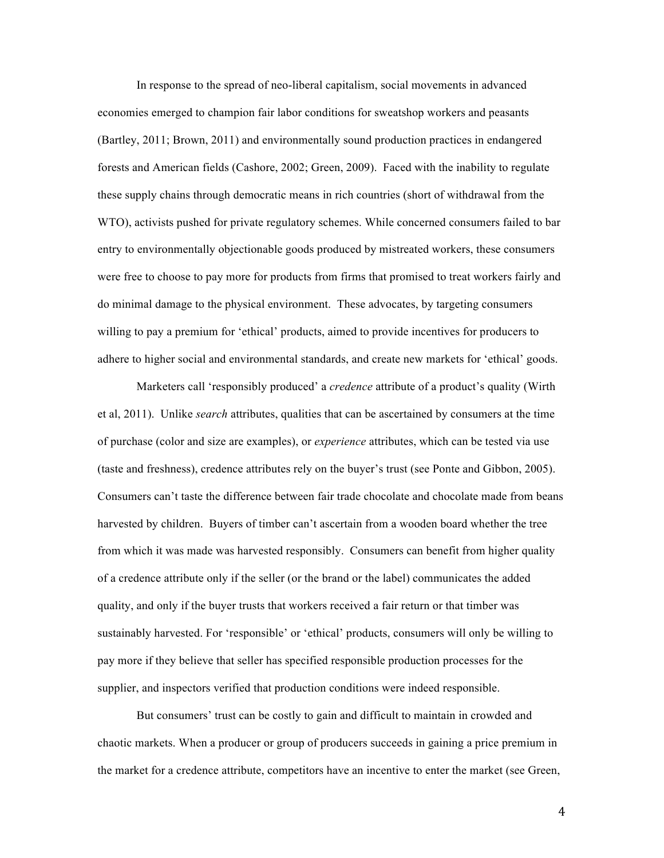In response to the spread of neo-liberal capitalism, social movements in advanced economies emerged to champion fair labor conditions for sweatshop workers and peasants (Bartley, 2011; Brown, 2011) and environmentally sound production practices in endangered forests and American fields (Cashore, 2002; Green, 2009). Faced with the inability to regulate these supply chains through democratic means in rich countries (short of withdrawal from the WTO), activists pushed for private regulatory schemes. While concerned consumers failed to bar entry to environmentally objectionable goods produced by mistreated workers, these consumers were free to choose to pay more for products from firms that promised to treat workers fairly and do minimal damage to the physical environment. These advocates, by targeting consumers willing to pay a premium for 'ethical' products, aimed to provide incentives for producers to adhere to higher social and environmental standards, and create new markets for 'ethical' goods.

Marketers call 'responsibly produced' a *credence* attribute of a product's quality (Wirth et al, 2011). Unlike *search* attributes, qualities that can be ascertained by consumers at the time of purchase (color and size are examples), or *experience* attributes, which can be tested via use (taste and freshness), credence attributes rely on the buyer's trust (see Ponte and Gibbon, 2005). Consumers can't taste the difference between fair trade chocolate and chocolate made from beans harvested by children. Buyers of timber can't ascertain from a wooden board whether the tree from which it was made was harvested responsibly. Consumers can benefit from higher quality of a credence attribute only if the seller (or the brand or the label) communicates the added quality, and only if the buyer trusts that workers received a fair return or that timber was sustainably harvested. For 'responsible' or 'ethical' products, consumers will only be willing to pay more if they believe that seller has specified responsible production processes for the supplier, and inspectors verified that production conditions were indeed responsible.

But consumers' trust can be costly to gain and difficult to maintain in crowded and chaotic markets. When a producer or group of producers succeeds in gaining a price premium in the market for a credence attribute, competitors have an incentive to enter the market (see Green,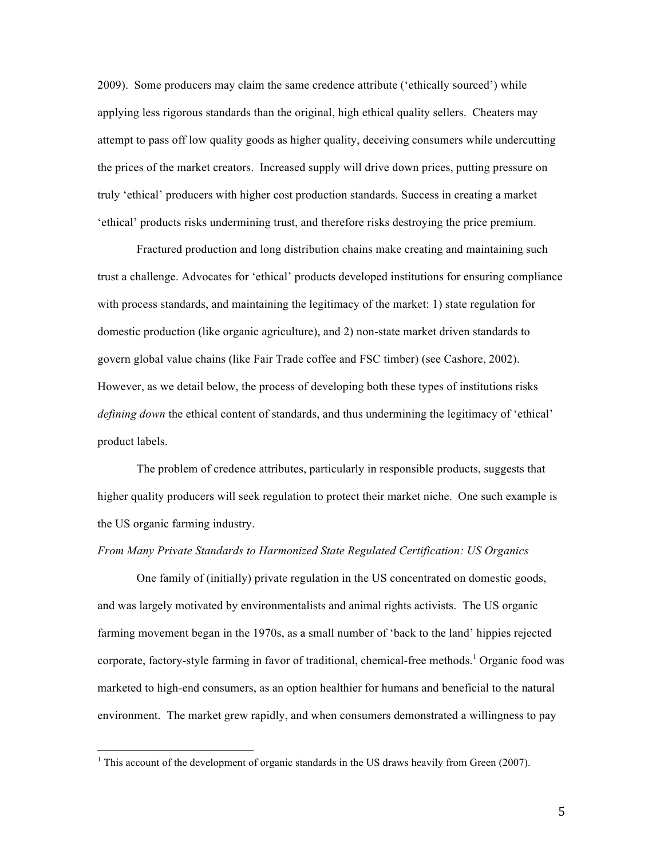2009). Some producers may claim the same credence attribute ('ethically sourced') while applying less rigorous standards than the original, high ethical quality sellers. Cheaters may attempt to pass off low quality goods as higher quality, deceiving consumers while undercutting the prices of the market creators. Increased supply will drive down prices, putting pressure on truly 'ethical' producers with higher cost production standards. Success in creating a market 'ethical' products risks undermining trust, and therefore risks destroying the price premium.

Fractured production and long distribution chains make creating and maintaining such trust a challenge. Advocates for 'ethical' products developed institutions for ensuring compliance with process standards, and maintaining the legitimacy of the market: 1) state regulation for domestic production (like organic agriculture), and 2) non-state market driven standards to govern global value chains (like Fair Trade coffee and FSC timber) (see Cashore, 2002). However, as we detail below, the process of developing both these types of institutions risks *defining down* the ethical content of standards, and thus undermining the legitimacy of 'ethical' product labels.

The problem of credence attributes, particularly in responsible products, suggests that higher quality producers will seek regulation to protect their market niche. One such example is the US organic farming industry.

### *From Many Private Standards to Harmonized State Regulated Certification: US Organics*

One family of (initially) private regulation in the US concentrated on domestic goods, and was largely motivated by environmentalists and animal rights activists. The US organic farming movement began in the 1970s, as a small number of 'back to the land' hippies rejected corporate, factory-style farming in favor of traditional, chemical-free methods.<sup>1</sup> Organic food was marketed to high-end consumers, as an option healthier for humans and beneficial to the natural environment. The market grew rapidly, and when consumers demonstrated a willingness to pay

 $1$ <sup>1</sup> This account of the development of organic standards in the US draws heavily from Green (2007).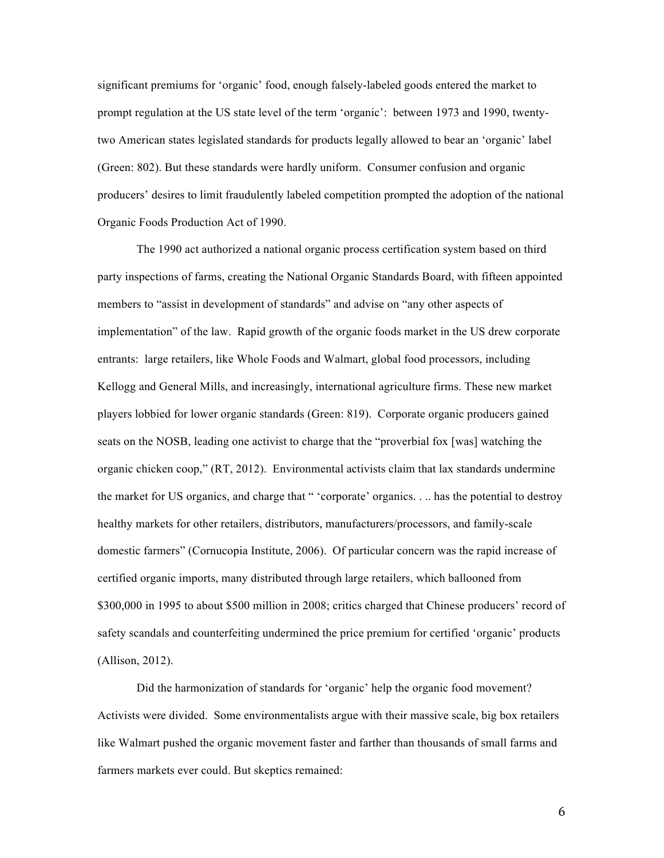significant premiums for 'organic' food, enough falsely-labeled goods entered the market to prompt regulation at the US state level of the term 'organic': between 1973 and 1990, twentytwo American states legislated standards for products legally allowed to bear an 'organic' label (Green: 802). But these standards were hardly uniform. Consumer confusion and organic producers' desires to limit fraudulently labeled competition prompted the adoption of the national Organic Foods Production Act of 1990.

The 1990 act authorized a national organic process certification system based on third party inspections of farms, creating the National Organic Standards Board, with fifteen appointed members to "assist in development of standards" and advise on "any other aspects of implementation" of the law. Rapid growth of the organic foods market in the US drew corporate entrants: large retailers, like Whole Foods and Walmart, global food processors, including Kellogg and General Mills, and increasingly, international agriculture firms. These new market players lobbied for lower organic standards (Green: 819). Corporate organic producers gained seats on the NOSB, leading one activist to charge that the "proverbial fox [was] watching the organic chicken coop," (RT, 2012). Environmental activists claim that lax standards undermine the market for US organics, and charge that " 'corporate' organics. . .. has the potential to destroy healthy markets for other retailers, distributors, manufacturers/processors, and family-scale domestic farmers" (Cornucopia Institute, 2006). Of particular concern was the rapid increase of certified organic imports, many distributed through large retailers, which ballooned from \$300,000 in 1995 to about \$500 million in 2008; critics charged that Chinese producers' record of safety scandals and counterfeiting undermined the price premium for certified 'organic' products (Allison, 2012).

Did the harmonization of standards for 'organic' help the organic food movement? Activists were divided. Some environmentalists argue with their massive scale, big box retailers like Walmart pushed the organic movement faster and farther than thousands of small farms and farmers markets ever could. But skeptics remained: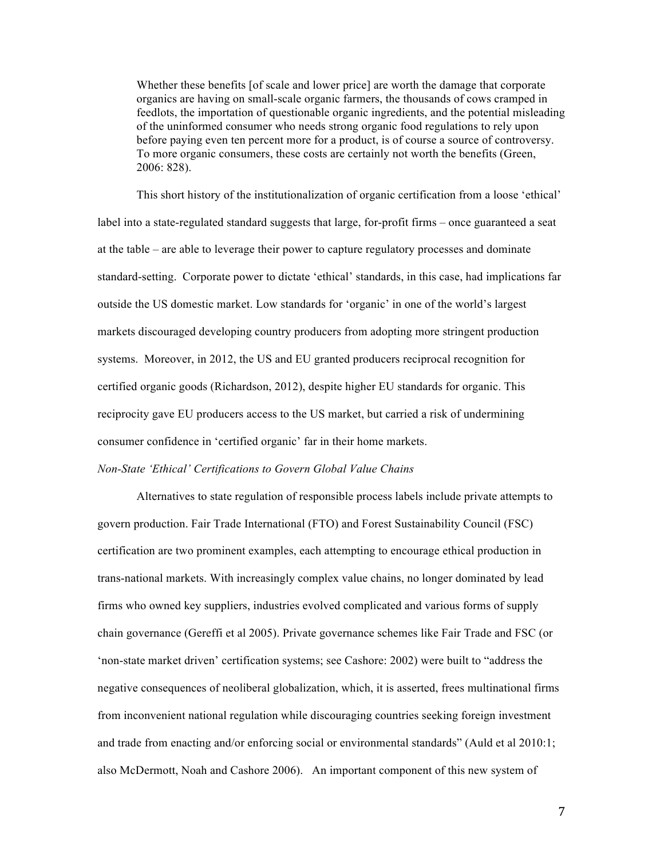Whether these benefits [of scale and lower price] are worth the damage that corporate organics are having on small-scale organic farmers, the thousands of cows cramped in feedlots, the importation of questionable organic ingredients, and the potential misleading of the uninformed consumer who needs strong organic food regulations to rely upon before paying even ten percent more for a product, is of course a source of controversy. To more organic consumers, these costs are certainly not worth the benefits (Green, 2006: 828).

This short history of the institutionalization of organic certification from a loose 'ethical' label into a state-regulated standard suggests that large, for-profit firms – once guaranteed a seat at the table – are able to leverage their power to capture regulatory processes and dominate standard-setting. Corporate power to dictate 'ethical' standards, in this case, had implications far outside the US domestic market. Low standards for 'organic' in one of the world's largest markets discouraged developing country producers from adopting more stringent production systems. Moreover, in 2012, the US and EU granted producers reciprocal recognition for certified organic goods (Richardson, 2012), despite higher EU standards for organic. This reciprocity gave EU producers access to the US market, but carried a risk of undermining consumer confidence in 'certified organic' far in their home markets.

## *Non-State 'Ethical' Certifications to Govern Global Value Chains*

Alternatives to state regulation of responsible process labels include private attempts to govern production. Fair Trade International (FTO) and Forest Sustainability Council (FSC) certification are two prominent examples, each attempting to encourage ethical production in trans-national markets. With increasingly complex value chains, no longer dominated by lead firms who owned key suppliers, industries evolved complicated and various forms of supply chain governance (Gereffi et al 2005). Private governance schemes like Fair Trade and FSC (or 'non-state market driven' certification systems; see Cashore: 2002) were built to "address the negative consequences of neoliberal globalization, which, it is asserted, frees multinational firms from inconvenient national regulation while discouraging countries seeking foreign investment and trade from enacting and/or enforcing social or environmental standards" (Auld et al 2010:1; also McDermott, Noah and Cashore 2006). An important component of this new system of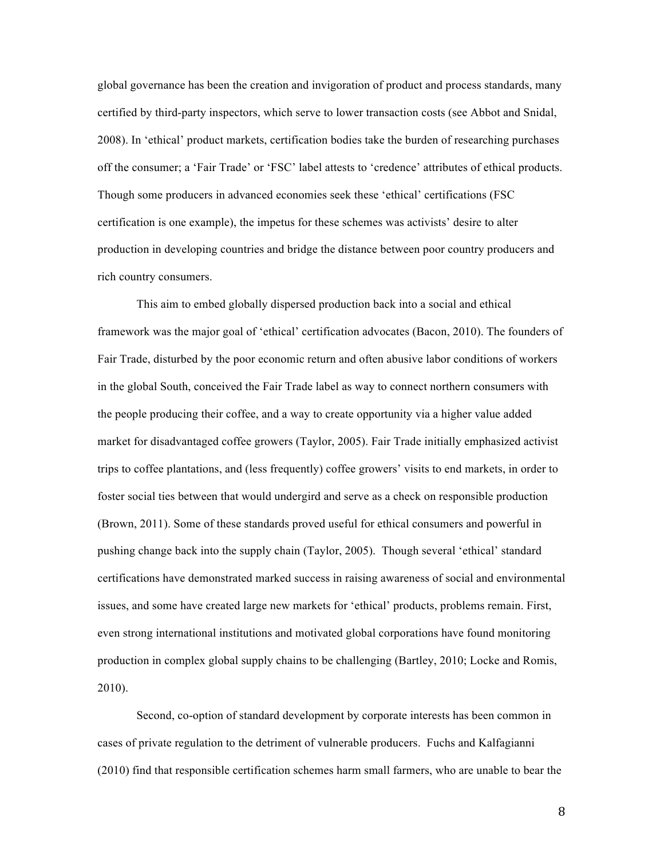global governance has been the creation and invigoration of product and process standards, many certified by third-party inspectors, which serve to lower transaction costs (see Abbot and Snidal, 2008). In 'ethical' product markets, certification bodies take the burden of researching purchases off the consumer; a 'Fair Trade' or 'FSC' label attests to 'credence' attributes of ethical products. Though some producers in advanced economies seek these 'ethical' certifications (FSC certification is one example), the impetus for these schemes was activists' desire to alter production in developing countries and bridge the distance between poor country producers and rich country consumers.

This aim to embed globally dispersed production back into a social and ethical framework was the major goal of 'ethical' certification advocates (Bacon, 2010). The founders of Fair Trade, disturbed by the poor economic return and often abusive labor conditions of workers in the global South, conceived the Fair Trade label as way to connect northern consumers with the people producing their coffee, and a way to create opportunity via a higher value added market for disadvantaged coffee growers (Taylor, 2005). Fair Trade initially emphasized activist trips to coffee plantations, and (less frequently) coffee growers' visits to end markets, in order to foster social ties between that would undergird and serve as a check on responsible production (Brown, 2011). Some of these standards proved useful for ethical consumers and powerful in pushing change back into the supply chain (Taylor, 2005). Though several 'ethical' standard certifications have demonstrated marked success in raising awareness of social and environmental issues, and some have created large new markets for 'ethical' products, problems remain. First, even strong international institutions and motivated global corporations have found monitoring production in complex global supply chains to be challenging (Bartley, 2010; Locke and Romis, 2010).

Second, co-option of standard development by corporate interests has been common in cases of private regulation to the detriment of vulnerable producers. Fuchs and Kalfagianni (2010) find that responsible certification schemes harm small farmers, who are unable to bear the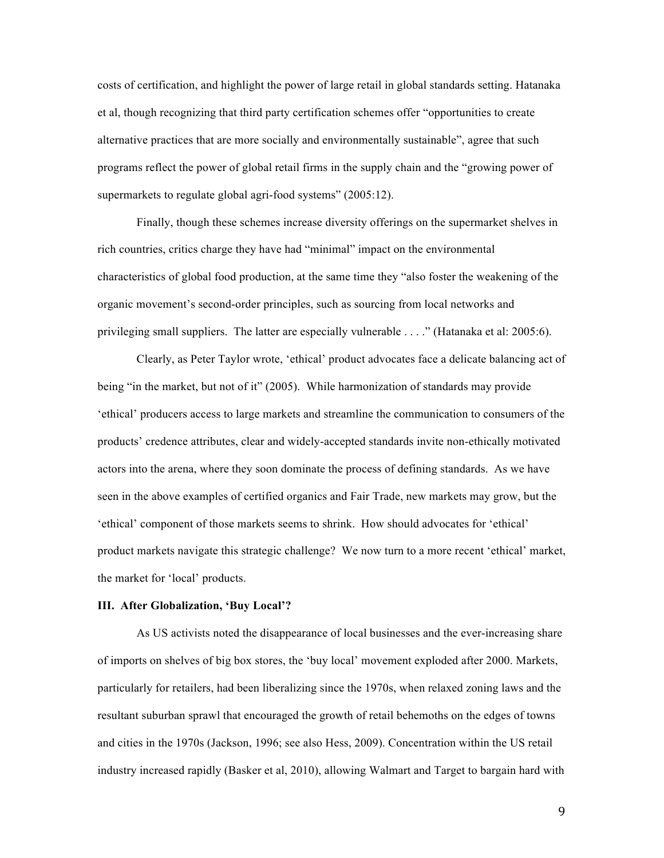costs of certification, and highlight the power of large retail in global standards setting. Hatanaka et al, though recognizing that third party certification schemes offer "opportunities to create alternative practices that are more socially and environmentally sustainable", agree that such programs reflect the power of global retail firms in the supply chain and the "growing power of supermarkets to regulate global agri-food systems" (2005:12).

Finally, though these schemes increase diversity offerings on the supermarket shelves in rich countries, critics charge they have had "minimal" impact on the environmental characteristics of global food production, at the same time they "also foster the weakening of the organic movement's second-order principles, such as sourcing from local networks and privileging small suppliers. The latter are especially vulnerable . . . ." (Hatanaka et al: 2005:6).

Clearly, as Peter Taylor wrote, 'ethical' product advocates face a delicate balancing act of being "in the market, but not of it" (2005). While harmonization of standards may provide 'ethical' producers access to large markets and streamline the communication to consumers of the products' credence attributes, clear and widely-accepted standards invite non-ethically motivated actors into the arena, where they soon dominate the process of defining standards. As we have seen in the above examples of certified organics and Fair Trade, new markets may grow, but the 'ethical' component of those markets seems to shrink. How should advocates for 'ethical' product markets navigate this strategic challenge? We now turn to a more recent 'ethical' market, the market for 'local' products.

## **III. After Globalization, 'Buy Local'?**

As US activists noted the disappearance of local businesses and the ever-increasing share of imports on shelves of big box stores, the 'buy local' movement exploded after 2000. Markets, particularly for retailers, had been liberalizing since the 1970s, when relaxed zoning laws and the resultant suburban sprawl that encouraged the growth of retail behemoths on the edges of towns and cities in the 1970s (Jackson, 1996; see also Hess, 2009). Concentration within the US retail industry increased rapidly (Basker et al, 2010), allowing Walmart and Target to bargain hard with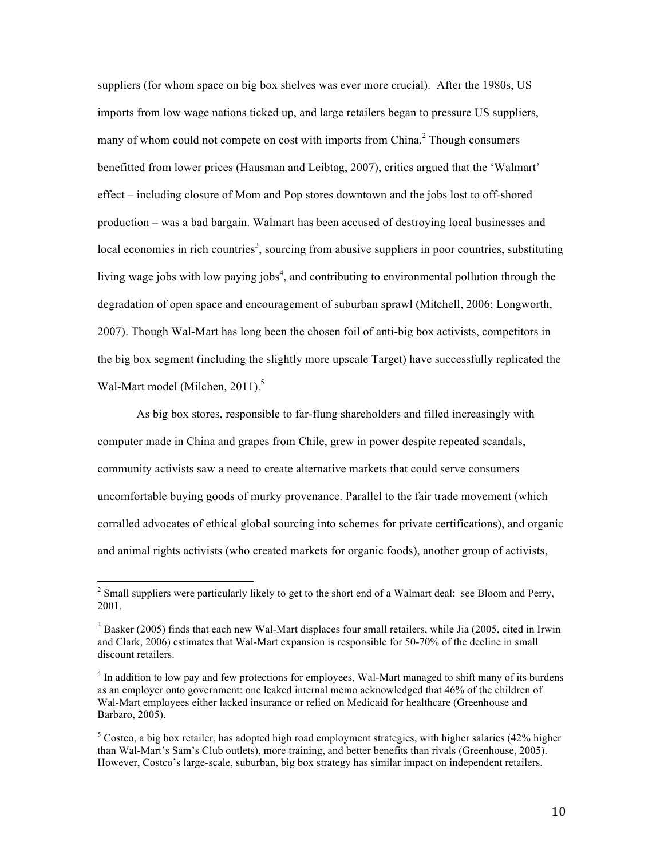suppliers (for whom space on big box shelves was ever more crucial). After the 1980s, US imports from low wage nations ticked up, and large retailers began to pressure US suppliers, many of whom could not compete on cost with imports from China.<sup>2</sup> Though consumers benefitted from lower prices (Hausman and Leibtag, 2007), critics argued that the 'Walmart' effect – including closure of Mom and Pop stores downtown and the jobs lost to off-shored production – was a bad bargain. Walmart has been accused of destroying local businesses and local economies in rich countries<sup>3</sup>, sourcing from abusive suppliers in poor countries, substituting living wage jobs with low paying jobs<sup>4</sup>, and contributing to environmental pollution through the degradation of open space and encouragement of suburban sprawl (Mitchell, 2006; Longworth, 2007). Though Wal-Mart has long been the chosen foil of anti-big box activists, competitors in the big box segment (including the slightly more upscale Target) have successfully replicated the Wal-Mart model (Milchen,  $2011$ ).<sup>5</sup>

As big box stores, responsible to far-flung shareholders and filled increasingly with computer made in China and grapes from Chile, grew in power despite repeated scandals, community activists saw a need to create alternative markets that could serve consumers uncomfortable buying goods of murky provenance. Parallel to the fair trade movement (which corralled advocates of ethical global sourcing into schemes for private certifications), and organic and animal rights activists (who created markets for organic foods), another group of activists,

<sup>&</sup>lt;sup>2</sup> Small suppliers were particularly likely to get to the short end of a Walmart deal: see Bloom and Perry, 2001.

<sup>&</sup>lt;sup>3</sup> Basker (2005) finds that each new Wal-Mart displaces four small retailers, while Jia (2005, cited in Irwin and Clark, 2006) estimates that Wal-Mart expansion is responsible for 50-70% of the decline in small discount retailers.

<sup>&</sup>lt;sup>4</sup> In addition to low pay and few protections for employees, Wal-Mart managed to shift many of its burdens as an employer onto government: one leaked internal memo acknowledged that 46% of the children of Wal-Mart employees either lacked insurance or relied on Medicaid for healthcare (Greenhouse and Barbaro, 2005).

 $5$  Costco, a big box retailer, has adopted high road employment strategies, with higher salaries (42% higher than Wal-Mart's Sam's Club outlets), more training, and better benefits than rivals (Greenhouse, 2005). However, Costco's large-scale, suburban, big box strategy has similar impact on independent retailers.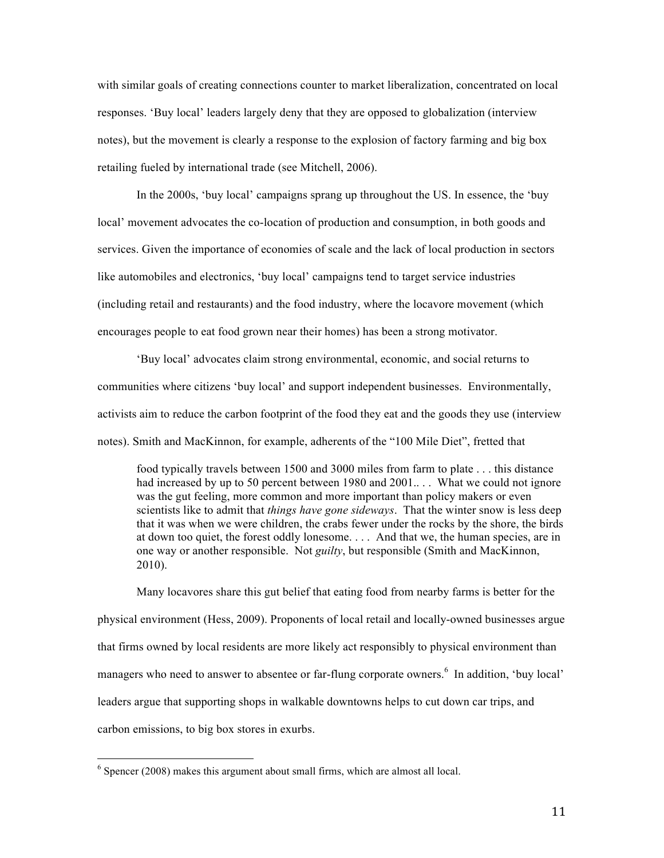with similar goals of creating connections counter to market liberalization, concentrated on local responses. 'Buy local' leaders largely deny that they are opposed to globalization (interview notes), but the movement is clearly a response to the explosion of factory farming and big box retailing fueled by international trade (see Mitchell, 2006).

In the 2000s, 'buy local' campaigns sprang up throughout the US. In essence, the 'buy local' movement advocates the co-location of production and consumption, in both goods and services. Given the importance of economies of scale and the lack of local production in sectors like automobiles and electronics, 'buy local' campaigns tend to target service industries (including retail and restaurants) and the food industry, where the locavore movement (which encourages people to eat food grown near their homes) has been a strong motivator.

'Buy local' advocates claim strong environmental, economic, and social returns to communities where citizens 'buy local' and support independent businesses. Environmentally, activists aim to reduce the carbon footprint of the food they eat and the goods they use (interview notes). Smith and MacKinnon, for example, adherents of the "100 Mile Diet", fretted that

food typically travels between 1500 and 3000 miles from farm to plate . . . this distance had increased by up to 50 percent between 1980 and 2001... What we could not ignore was the gut feeling, more common and more important than policy makers or even scientists like to admit that *things have gone sideways*. That the winter snow is less deep that it was when we were children, the crabs fewer under the rocks by the shore, the birds at down too quiet, the forest oddly lonesome. . . . And that we, the human species, are in one way or another responsible. Not *guilty*, but responsible (Smith and MacKinnon, 2010).

Many locavores share this gut belief that eating food from nearby farms is better for the physical environment (Hess, 2009). Proponents of local retail and locally-owned businesses argue that firms owned by local residents are more likely act responsibly to physical environment than managers who need to answer to absentee or far-flung corporate owners.<sup>6</sup> In addition, 'buy local' leaders argue that supporting shops in walkable downtowns helps to cut down car trips, and carbon emissions, to big box stores in exurbs.

 $6$  Spencer (2008) makes this argument about small firms, which are almost all local.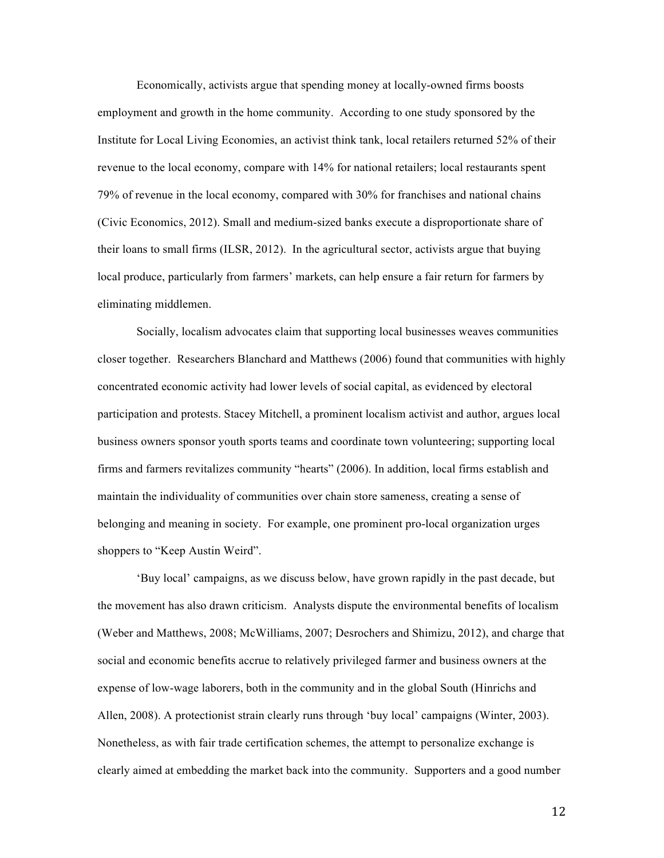Economically, activists argue that spending money at locally-owned firms boosts employment and growth in the home community. According to one study sponsored by the Institute for Local Living Economies, an activist think tank, local retailers returned 52% of their revenue to the local economy, compare with 14% for national retailers; local restaurants spent 79% of revenue in the local economy, compared with 30% for franchises and national chains (Civic Economics, 2012). Small and medium-sized banks execute a disproportionate share of their loans to small firms (ILSR, 2012). In the agricultural sector, activists argue that buying local produce, particularly from farmers' markets, can help ensure a fair return for farmers by eliminating middlemen.

Socially, localism advocates claim that supporting local businesses weaves communities closer together. Researchers Blanchard and Matthews (2006) found that communities with highly concentrated economic activity had lower levels of social capital, as evidenced by electoral participation and protests. Stacey Mitchell, a prominent localism activist and author, argues local business owners sponsor youth sports teams and coordinate town volunteering; supporting local firms and farmers revitalizes community "hearts" (2006). In addition, local firms establish and maintain the individuality of communities over chain store sameness, creating a sense of belonging and meaning in society. For example, one prominent pro-local organization urges shoppers to "Keep Austin Weird".

'Buy local' campaigns, as we discuss below, have grown rapidly in the past decade, but the movement has also drawn criticism. Analysts dispute the environmental benefits of localism (Weber and Matthews, 2008; McWilliams, 2007; Desrochers and Shimizu, 2012), and charge that social and economic benefits accrue to relatively privileged farmer and business owners at the expense of low-wage laborers, both in the community and in the global South (Hinrichs and Allen, 2008). A protectionist strain clearly runs through 'buy local' campaigns (Winter, 2003). Nonetheless, as with fair trade certification schemes, the attempt to personalize exchange is clearly aimed at embedding the market back into the community. Supporters and a good number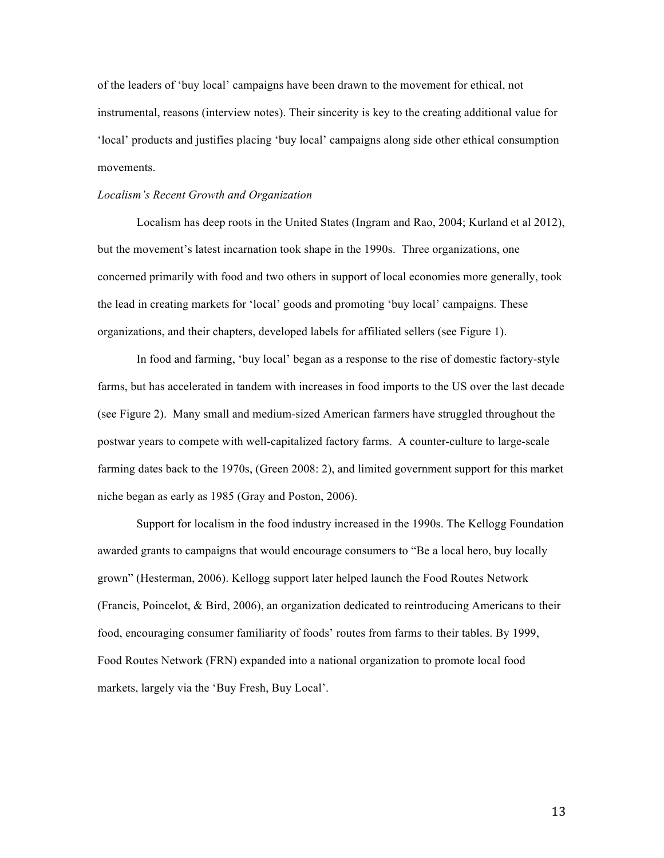of the leaders of 'buy local' campaigns have been drawn to the movement for ethical, not instrumental, reasons (interview notes). Their sincerity is key to the creating additional value for 'local' products and justifies placing 'buy local' campaigns along side other ethical consumption movements.

#### *Localism's Recent Growth and Organization*

Localism has deep roots in the United States (Ingram and Rao, 2004; Kurland et al 2012), but the movement's latest incarnation took shape in the 1990s. Three organizations, one concerned primarily with food and two others in support of local economies more generally, took the lead in creating markets for 'local' goods and promoting 'buy local' campaigns. These organizations, and their chapters, developed labels for affiliated sellers (see Figure 1).

In food and farming, 'buy local' began as a response to the rise of domestic factory-style farms, but has accelerated in tandem with increases in food imports to the US over the last decade (see Figure 2). Many small and medium-sized American farmers have struggled throughout the postwar years to compete with well-capitalized factory farms. A counter-culture to large-scale farming dates back to the 1970s, (Green 2008: 2), and limited government support for this market niche began as early as 1985 (Gray and Poston, 2006).

Support for localism in the food industry increased in the 1990s. The Kellogg Foundation awarded grants to campaigns that would encourage consumers to "Be a local hero, buy locally grown" (Hesterman, 2006). Kellogg support later helped launch the Food Routes Network (Francis, Poincelot, & Bird, 2006), an organization dedicated to reintroducing Americans to their food, encouraging consumer familiarity of foods' routes from farms to their tables. By 1999, Food Routes Network (FRN) expanded into a national organization to promote local food markets, largely via the 'Buy Fresh, Buy Local'.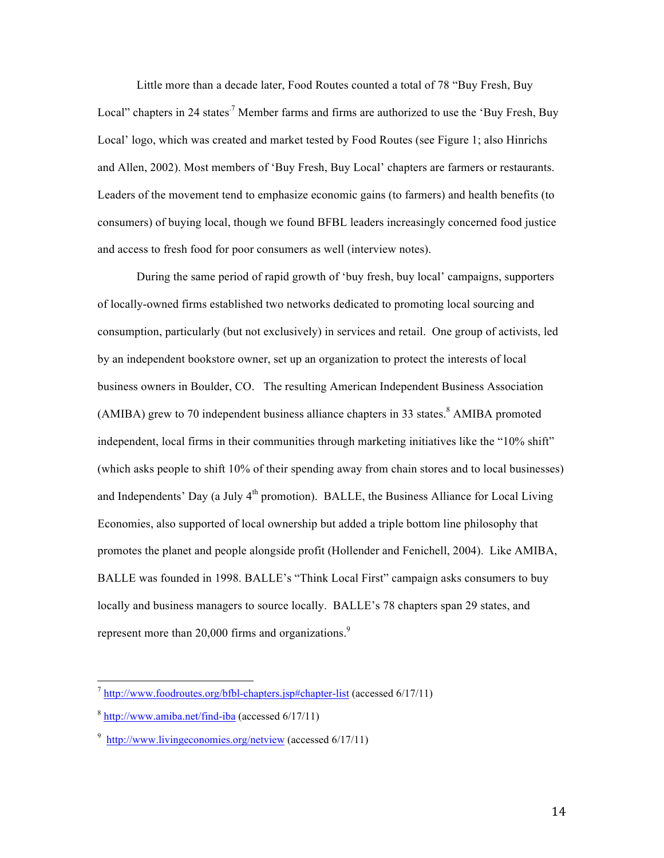Little more than a decade later, Food Routes counted a total of 78 "Buy Fresh, Buy Local" chapters in 24 states<sup>7</sup> Member farms and firms are authorized to use the 'Buy Fresh, Buy Local' logo, which was created and market tested by Food Routes (see Figure 1; also Hinrichs and Allen, 2002). Most members of 'Buy Fresh, Buy Local' chapters are farmers or restaurants. Leaders of the movement tend to emphasize economic gains (to farmers) and health benefits (to consumers) of buying local, though we found BFBL leaders increasingly concerned food justice and access to fresh food for poor consumers as well (interview notes).

During the same period of rapid growth of 'buy fresh, buy local' campaigns, supporters of locally-owned firms established two networks dedicated to promoting local sourcing and consumption, particularly (but not exclusively) in services and retail. One group of activists, led by an independent bookstore owner, set up an organization to protect the interests of local business owners in Boulder, CO. The resulting American Independent Business Association  $(AMIBA)$  grew to 70 independent business alliance chapters in 33 states.<sup>8</sup> AMIBA promoted independent, local firms in their communities through marketing initiatives like the "10% shift" (which asks people to shift 10% of their spending away from chain stores and to local businesses) and Independents' Day (a July  $4<sup>th</sup>$  promotion). BALLE, the Business Alliance for Local Living Economies, also supported of local ownership but added a triple bottom line philosophy that promotes the planet and people alongside profit (Hollender and Fenichell, 2004). Like AMIBA, BALLE was founded in 1998. BALLE's "Think Local First" campaign asks consumers to buy locally and business managers to source locally. BALLE's 78 chapters span 29 states, and represent more than 20,000 firms and organizations.<sup>9</sup>

 <sup>7</sup> http://www.foodroutes.org/bfbl-chapters.jsp#chapter-list (accessed 6/17/11)

<sup>8</sup> http://www.amiba.net/find-iba (accessed 6/17/11)

<sup>&</sup>lt;sup>9</sup> http://www.livingeconomies.org/netview (accessed 6/17/11)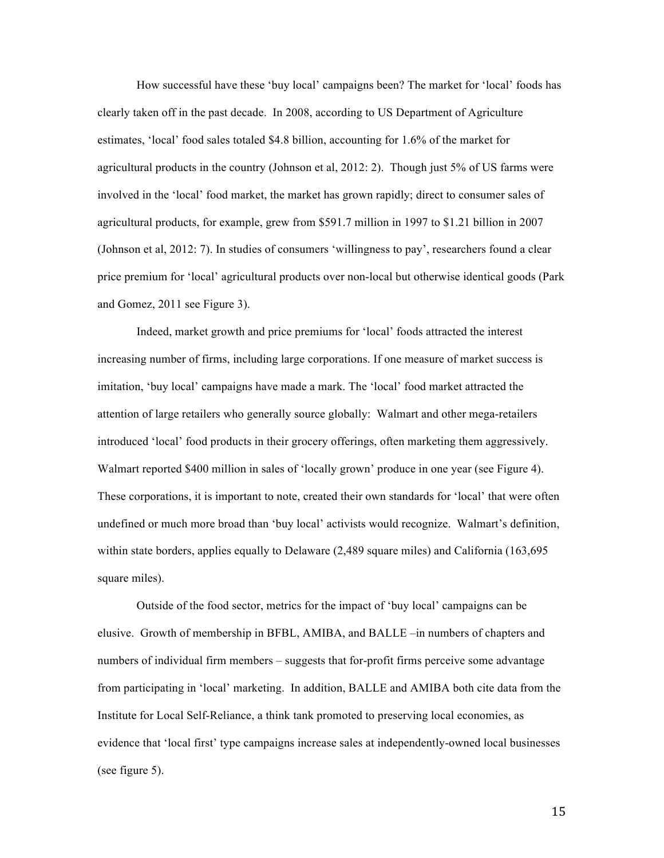How successful have these 'buy local' campaigns been? The market for 'local' foods has clearly taken off in the past decade. In 2008, according to US Department of Agriculture estimates, 'local' food sales totaled \$4.8 billion, accounting for 1.6% of the market for agricultural products in the country (Johnson et al, 2012: 2). Though just 5% of US farms were involved in the 'local' food market, the market has grown rapidly; direct to consumer sales of agricultural products, for example, grew from \$591.7 million in 1997 to \$1.21 billion in 2007 (Johnson et al, 2012: 7). In studies of consumers 'willingness to pay', researchers found a clear price premium for 'local' agricultural products over non-local but otherwise identical goods (Park and Gomez, 2011 see Figure 3).

Indeed, market growth and price premiums for 'local' foods attracted the interest increasing number of firms, including large corporations. If one measure of market success is imitation, 'buy local' campaigns have made a mark. The 'local' food market attracted the attention of large retailers who generally source globally: Walmart and other mega-retailers introduced 'local' food products in their grocery offerings, often marketing them aggressively. Walmart reported \$400 million in sales of 'locally grown' produce in one year (see Figure 4). These corporations, it is important to note, created their own standards for 'local' that were often undefined or much more broad than 'buy local' activists would recognize. Walmart's definition, within state borders, applies equally to Delaware (2,489 square miles) and California (163,695 square miles).

Outside of the food sector, metrics for the impact of 'buy local' campaigns can be elusive. Growth of membership in BFBL, AMIBA, and BALLE –in numbers of chapters and numbers of individual firm members – suggests that for-profit firms perceive some advantage from participating in 'local' marketing. In addition, BALLE and AMIBA both cite data from the Institute for Local Self-Reliance, a think tank promoted to preserving local economies, as evidence that 'local first' type campaigns increase sales at independently-owned local businesses (see figure 5).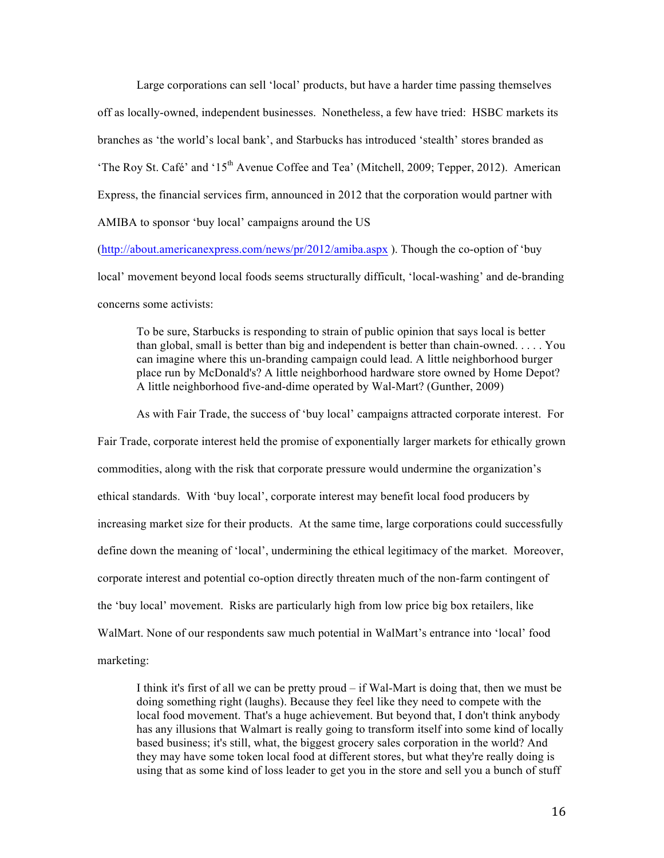Large corporations can sell 'local' products, but have a harder time passing themselves off as locally-owned, independent businesses. Nonetheless, a few have tried: HSBC markets its branches as 'the world's local bank', and Starbucks has introduced 'stealth' stores branded as 'The Roy St. Café' and ' $15<sup>th</sup>$  Avenue Coffee and Tea' (Mitchell, 2009; Tepper, 2012). American Express, the financial services firm, announced in 2012 that the corporation would partner with AMIBA to sponsor 'buy local' campaigns around the US

(http://about.americanexpress.com/news/pr/2012/amiba.aspx ). Though the co-option of 'buy local' movement beyond local foods seems structurally difficult, 'local-washing' and de-branding concerns some activists:

To be sure, Starbucks is responding to strain of public opinion that says local is better than global, small is better than big and independent is better than chain-owned. . . . . You can imagine where this un-branding campaign could lead. A little neighborhood burger place run by McDonald's? A little neighborhood hardware store owned by Home Depot? A little neighborhood five-and-dime operated by Wal-Mart? (Gunther, 2009)

As with Fair Trade, the success of 'buy local' campaigns attracted corporate interest. For Fair Trade, corporate interest held the promise of exponentially larger markets for ethically grown commodities, along with the risk that corporate pressure would undermine the organization's ethical standards. With 'buy local', corporate interest may benefit local food producers by increasing market size for their products. At the same time, large corporations could successfully define down the meaning of 'local', undermining the ethical legitimacy of the market. Moreover, corporate interest and potential co-option directly threaten much of the non-farm contingent of the 'buy local' movement. Risks are particularly high from low price big box retailers, like WalMart. None of our respondents saw much potential in WalMart's entrance into 'local' food marketing:

I think it's first of all we can be pretty proud – if Wal-Mart is doing that, then we must be doing something right (laughs). Because they feel like they need to compete with the local food movement. That's a huge achievement. But beyond that, I don't think anybody has any illusions that Walmart is really going to transform itself into some kind of locally based business; it's still, what, the biggest grocery sales corporation in the world? And they may have some token local food at different stores, but what they're really doing is using that as some kind of loss leader to get you in the store and sell you a bunch of stuff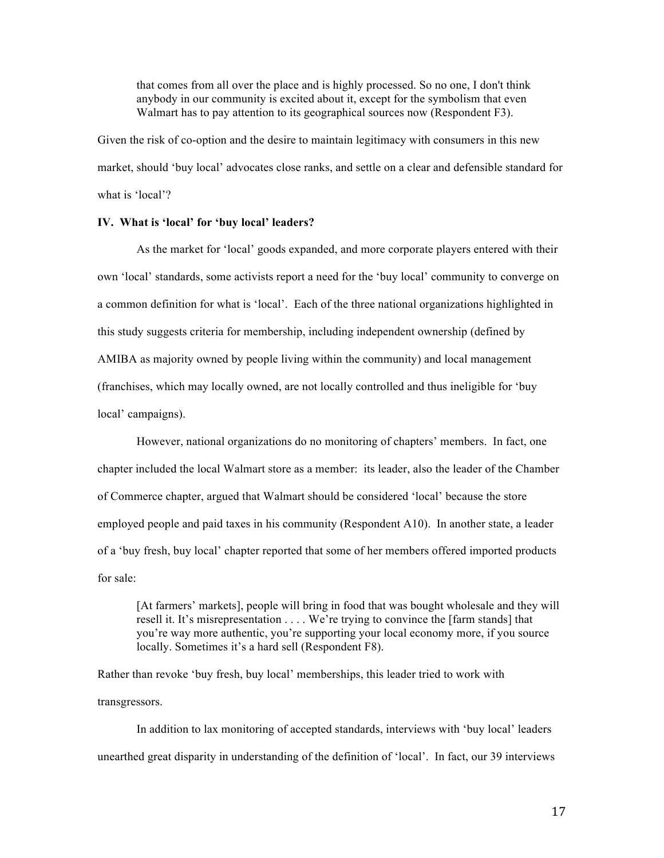that comes from all over the place and is highly processed. So no one, I don't think anybody in our community is excited about it, except for the symbolism that even Walmart has to pay attention to its geographical sources now (Respondent F3).

Given the risk of co-option and the desire to maintain legitimacy with consumers in this new market, should 'buy local' advocates close ranks, and settle on a clear and defensible standard for what is 'local'?

## **IV. What is 'local' for 'buy local' leaders?**

As the market for 'local' goods expanded, and more corporate players entered with their own 'local' standards, some activists report a need for the 'buy local' community to converge on a common definition for what is 'local'. Each of the three national organizations highlighted in this study suggests criteria for membership, including independent ownership (defined by AMIBA as majority owned by people living within the community) and local management (franchises, which may locally owned, are not locally controlled and thus ineligible for 'buy local' campaigns).

However, national organizations do no monitoring of chapters' members. In fact, one chapter included the local Walmart store as a member: its leader, also the leader of the Chamber of Commerce chapter, argued that Walmart should be considered 'local' because the store employed people and paid taxes in his community (Respondent A10). In another state, a leader of a 'buy fresh, buy local' chapter reported that some of her members offered imported products for sale:

[At farmers' markets], people will bring in food that was bought wholesale and they will resell it. It's misrepresentation . . . . We're trying to convince the [farm stands] that you're way more authentic, you're supporting your local economy more, if you source locally. Sometimes it's a hard sell (Respondent F8).

Rather than revoke 'buy fresh, buy local' memberships, this leader tried to work with transgressors.

In addition to lax monitoring of accepted standards, interviews with 'buy local' leaders unearthed great disparity in understanding of the definition of 'local'. In fact, our 39 interviews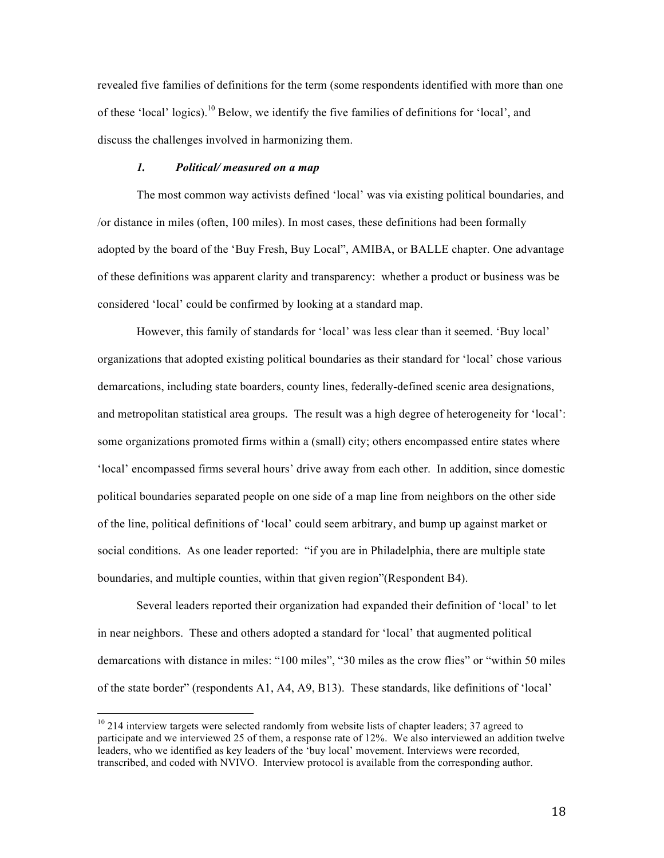revealed five families of definitions for the term (some respondents identified with more than one of these 'local' logics).<sup>10</sup> Below, we identify the five families of definitions for 'local', and discuss the challenges involved in harmonizing them.

## *1. Political/ measured on a map*

The most common way activists defined 'local' was via existing political boundaries, and /or distance in miles (often, 100 miles). In most cases, these definitions had been formally adopted by the board of the 'Buy Fresh, Buy Local", AMIBA, or BALLE chapter. One advantage of these definitions was apparent clarity and transparency: whether a product or business was be considered 'local' could be confirmed by looking at a standard map.

However, this family of standards for 'local' was less clear than it seemed. 'Buy local' organizations that adopted existing political boundaries as their standard for 'local' chose various demarcations, including state boarders, county lines, federally-defined scenic area designations, and metropolitan statistical area groups. The result was a high degree of heterogeneity for 'local': some organizations promoted firms within a (small) city; others encompassed entire states where 'local' encompassed firms several hours' drive away from each other. In addition, since domestic political boundaries separated people on one side of a map line from neighbors on the other side of the line, political definitions of 'local' could seem arbitrary, and bump up against market or social conditions. As one leader reported: "if you are in Philadelphia, there are multiple state boundaries, and multiple counties, within that given region"(Respondent B4).

Several leaders reported their organization had expanded their definition of 'local' to let in near neighbors. These and others adopted a standard for 'local' that augmented political demarcations with distance in miles: "100 miles", "30 miles as the crow flies" or "within 50 miles of the state border" (respondents A1, A4, A9, B13). These standards, like definitions of 'local'

<sup>&</sup>lt;sup>10</sup> 214 interview targets were selected randomly from website lists of chapter leaders; 37 agreed to participate and we interviewed 25 of them, a response rate of 12%. We also interviewed an addition twelve leaders, who we identified as key leaders of the 'buy local' movement. Interviews were recorded, transcribed, and coded with NVIVO. Interview protocol is available from the corresponding author.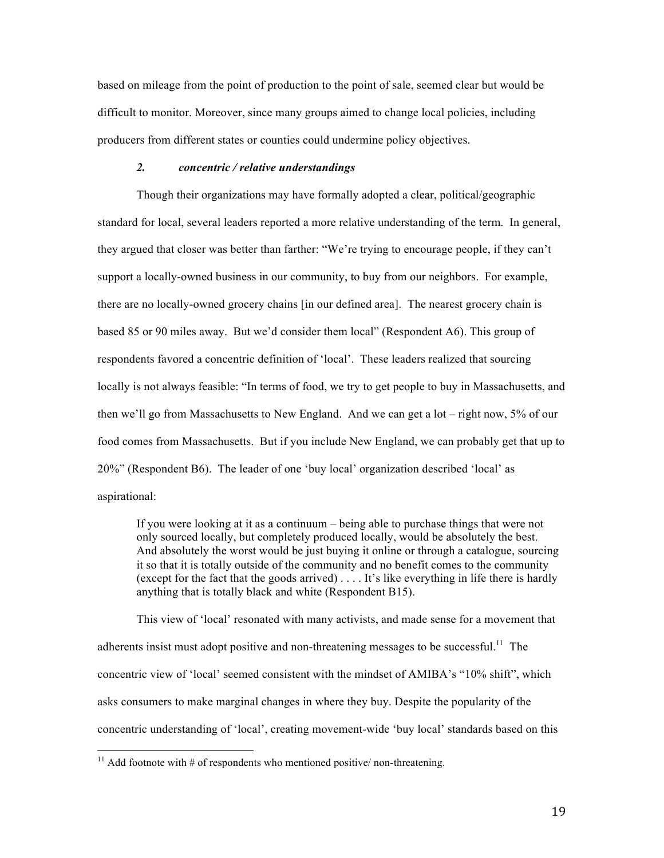based on mileage from the point of production to the point of sale, seemed clear but would be difficult to monitor. Moreover, since many groups aimed to change local policies, including producers from different states or counties could undermine policy objectives.

## *2. concentric / relative understandings*

Though their organizations may have formally adopted a clear, political/geographic standard for local, several leaders reported a more relative understanding of the term. In general, they argued that closer was better than farther: "We're trying to encourage people, if they can't support a locally-owned business in our community, to buy from our neighbors. For example, there are no locally-owned grocery chains [in our defined area]. The nearest grocery chain is based 85 or 90 miles away. But we'd consider them local" (Respondent A6). This group of respondents favored a concentric definition of 'local'. These leaders realized that sourcing locally is not always feasible: "In terms of food, we try to get people to buy in Massachusetts, and then we'll go from Massachusetts to New England. And we can get a lot – right now, 5% of our food comes from Massachusetts. But if you include New England, we can probably get that up to 20%" (Respondent B6). The leader of one 'buy local' organization described 'local' as aspirational:

If you were looking at it as a continuum – being able to purchase things that were not only sourced locally, but completely produced locally, would be absolutely the best. And absolutely the worst would be just buying it online or through a catalogue, sourcing it so that it is totally outside of the community and no benefit comes to the community (except for the fact that the goods arrived) . . . . It's like everything in life there is hardly anything that is totally black and white (Respondent B15).

This view of 'local' resonated with many activists, and made sense for a movement that adherents insist must adopt positive and non-threatening messages to be successful.<sup>11</sup> The concentric view of 'local' seemed consistent with the mindset of AMIBA's "10% shift", which asks consumers to make marginal changes in where they buy. Despite the popularity of the concentric understanding of 'local', creating movement-wide 'buy local' standards based on this

<sup>&</sup>lt;sup>11</sup> Add footnote with  $#$  of respondents who mentioned positive/ non-threatening.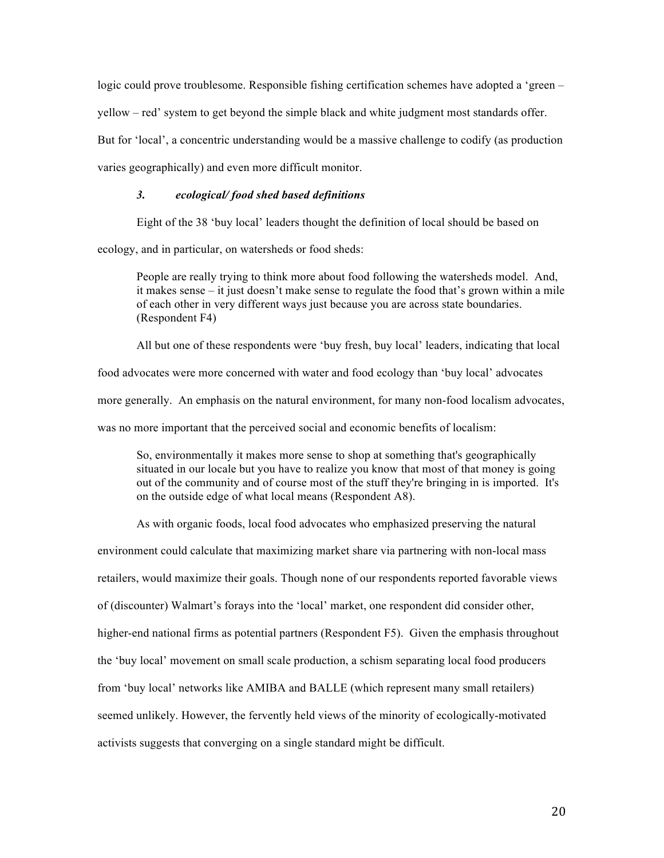logic could prove troublesome. Responsible fishing certification schemes have adopted a 'green – yellow – red' system to get beyond the simple black and white judgment most standards offer. But for 'local', a concentric understanding would be a massive challenge to codify (as production varies geographically) and even more difficult monitor.

## *3. ecological/ food shed based definitions*

Eight of the 38 'buy local' leaders thought the definition of local should be based on

ecology, and in particular, on watersheds or food sheds:

People are really trying to think more about food following the watersheds model. And, it makes sense – it just doesn't make sense to regulate the food that's grown within a mile of each other in very different ways just because you are across state boundaries. (Respondent F4)

All but one of these respondents were 'buy fresh, buy local' leaders, indicating that local

food advocates were more concerned with water and food ecology than 'buy local' advocates more generally. An emphasis on the natural environment, for many non-food localism advocates, was no more important that the perceived social and economic benefits of localism:

So, environmentally it makes more sense to shop at something that's geographically situated in our locale but you have to realize you know that most of that money is going out of the community and of course most of the stuff they're bringing in is imported. It's on the outside edge of what local means (Respondent A8).

As with organic foods, local food advocates who emphasized preserving the natural

environment could calculate that maximizing market share via partnering with non-local mass

retailers, would maximize their goals. Though none of our respondents reported favorable views

of (discounter) Walmart's forays into the 'local' market, one respondent did consider other,

higher-end national firms as potential partners (Respondent F5). Given the emphasis throughout

the 'buy local' movement on small scale production, a schism separating local food producers

from 'buy local' networks like AMIBA and BALLE (which represent many small retailers)

seemed unlikely. However, the fervently held views of the minority of ecologically-motivated

activists suggests that converging on a single standard might be difficult.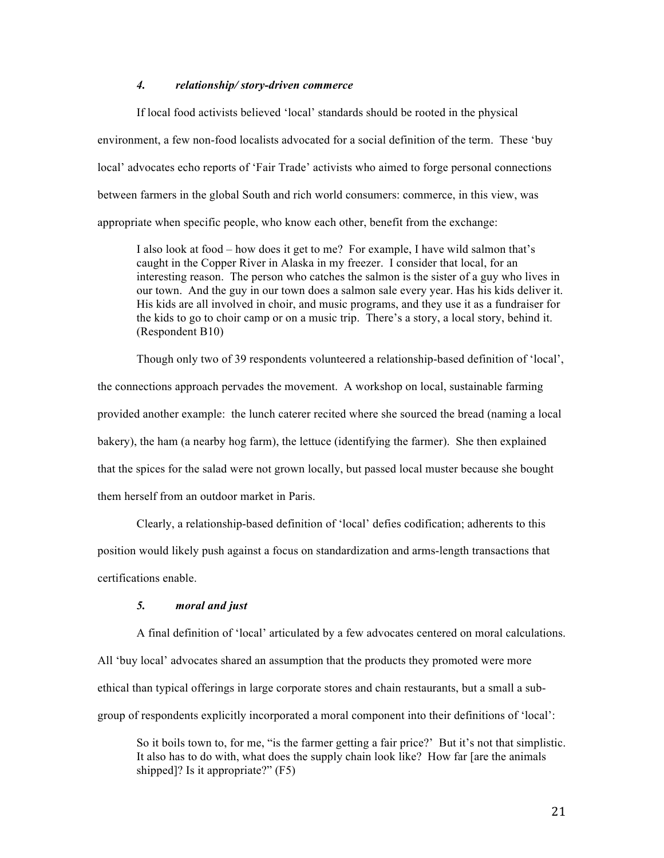## *4. relationship/ story-driven commerce*

If local food activists believed 'local' standards should be rooted in the physical environment, a few non-food localists advocated for a social definition of the term. These 'buy local' advocates echo reports of 'Fair Trade' activists who aimed to forge personal connections between farmers in the global South and rich world consumers: commerce, in this view, was appropriate when specific people, who know each other, benefit from the exchange:

I also look at food – how does it get to me? For example, I have wild salmon that's caught in the Copper River in Alaska in my freezer. I consider that local, for an interesting reason. The person who catches the salmon is the sister of a guy who lives in our town. And the guy in our town does a salmon sale every year. Has his kids deliver it. His kids are all involved in choir, and music programs, and they use it as a fundraiser for the kids to go to choir camp or on a music trip. There's a story, a local story, behind it. (Respondent B10)

Though only two of 39 respondents volunteered a relationship-based definition of 'local', the connections approach pervades the movement. A workshop on local, sustainable farming provided another example: the lunch caterer recited where she sourced the bread (naming a local bakery), the ham (a nearby hog farm), the lettuce (identifying the farmer). She then explained that the spices for the salad were not grown locally, but passed local muster because she bought them herself from an outdoor market in Paris.

Clearly, a relationship-based definition of 'local' defies codification; adherents to this position would likely push against a focus on standardization and arms-length transactions that certifications enable.

## *5. moral and just*

A final definition of 'local' articulated by a few advocates centered on moral calculations. All 'buy local' advocates shared an assumption that the products they promoted were more ethical than typical offerings in large corporate stores and chain restaurants, but a small a subgroup of respondents explicitly incorporated a moral component into their definitions of 'local':

So it boils town to, for me, "is the farmer getting a fair price?' But it's not that simplistic. It also has to do with, what does the supply chain look like? How far [are the animals shipped]? Is it appropriate?" (F5)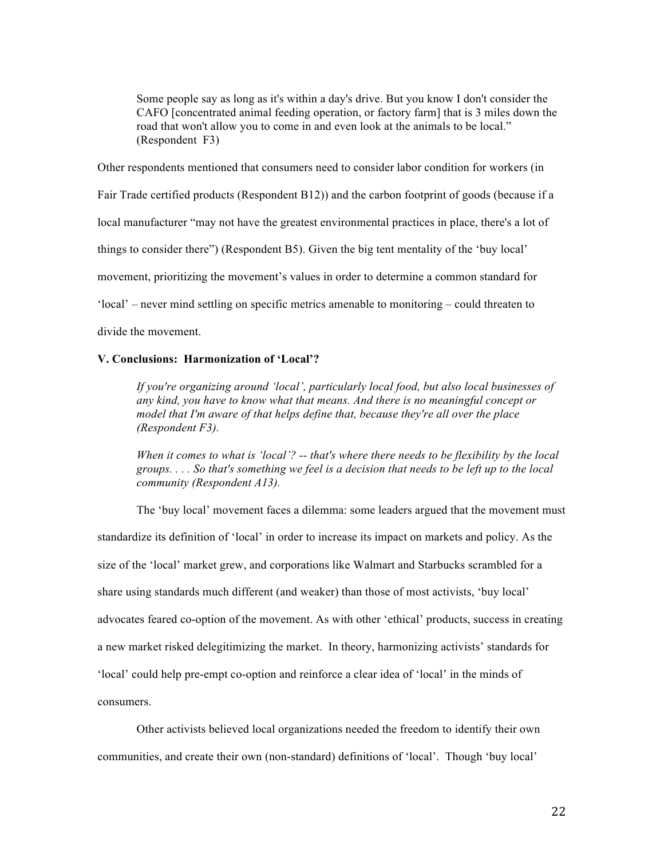Some people say as long as it's within a day's drive. But you know I don't consider the CAFO [concentrated animal feeding operation, or factory farm] that is 3 miles down the road that won't allow you to come in and even look at the animals to be local." (Respondent F3)

Other respondents mentioned that consumers need to consider labor condition for workers (in Fair Trade certified products (Respondent B12)) and the carbon footprint of goods (because if a local manufacturer "may not have the greatest environmental practices in place, there's a lot of things to consider there") (Respondent B5). Given the big tent mentality of the 'buy local' movement, prioritizing the movement's values in order to determine a common standard for 'local' – never mind settling on specific metrics amenable to monitoring – could threaten to divide the movement.

## **V. Conclusions: Harmonization of 'Local'?**

*If you're organizing around 'local', particularly local food, but also local businesses of any kind, you have to know what that means. And there is no meaningful concept or model that I'm aware of that helps define that, because they're all over the place (Respondent F3).*

*When it comes to what is 'local'? -- that's where there needs to be flexibility by the local groups. . . . So that's something we feel is a decision that needs to be left up to the local community (Respondent A13).*

The 'buy local' movement faces a dilemma: some leaders argued that the movement must standardize its definition of 'local' in order to increase its impact on markets and policy. As the size of the 'local' market grew, and corporations like Walmart and Starbucks scrambled for a share using standards much different (and weaker) than those of most activists, 'buy local' advocates feared co-option of the movement. As with other 'ethical' products, success in creating a new market risked delegitimizing the market. In theory, harmonizing activists' standards for 'local' could help pre-empt co-option and reinforce a clear idea of 'local' in the minds of consumers.

Other activists believed local organizations needed the freedom to identify their own communities, and create their own (non-standard) definitions of 'local'. Though 'buy local'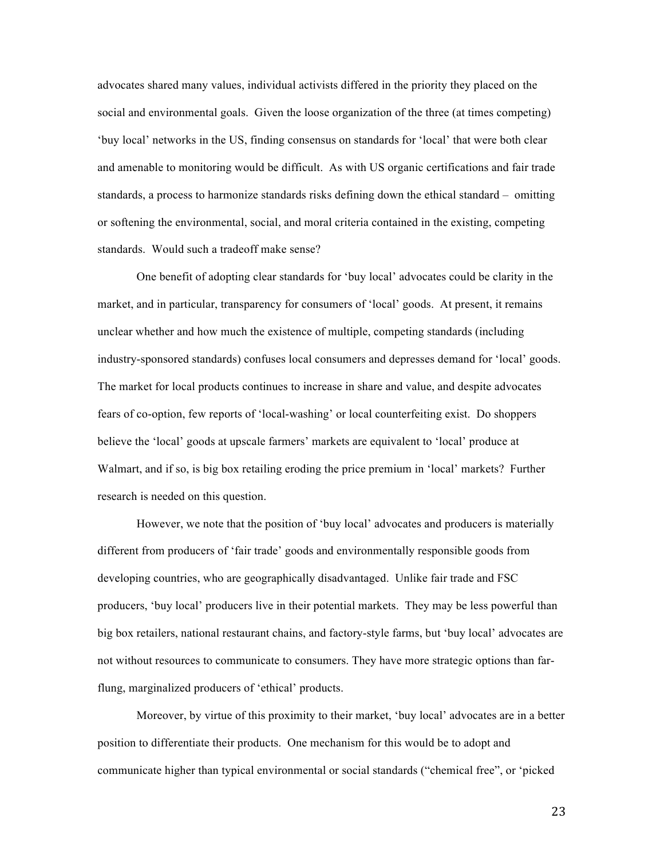advocates shared many values, individual activists differed in the priority they placed on the social and environmental goals. Given the loose organization of the three (at times competing) 'buy local' networks in the US, finding consensus on standards for 'local' that were both clear and amenable to monitoring would be difficult. As with US organic certifications and fair trade standards, a process to harmonize standards risks defining down the ethical standard – omitting or softening the environmental, social, and moral criteria contained in the existing, competing standards. Would such a tradeoff make sense?

One benefit of adopting clear standards for 'buy local' advocates could be clarity in the market, and in particular, transparency for consumers of 'local' goods. At present, it remains unclear whether and how much the existence of multiple, competing standards (including industry-sponsored standards) confuses local consumers and depresses demand for 'local' goods. The market for local products continues to increase in share and value, and despite advocates fears of co-option, few reports of 'local-washing' or local counterfeiting exist. Do shoppers believe the 'local' goods at upscale farmers' markets are equivalent to 'local' produce at Walmart, and if so, is big box retailing eroding the price premium in 'local' markets? Further research is needed on this question.

However, we note that the position of 'buy local' advocates and producers is materially different from producers of 'fair trade' goods and environmentally responsible goods from developing countries, who are geographically disadvantaged. Unlike fair trade and FSC producers, 'buy local' producers live in their potential markets. They may be less powerful than big box retailers, national restaurant chains, and factory-style farms, but 'buy local' advocates are not without resources to communicate to consumers. They have more strategic options than farflung, marginalized producers of 'ethical' products.

Moreover, by virtue of this proximity to their market, 'buy local' advocates are in a better position to differentiate their products. One mechanism for this would be to adopt and communicate higher than typical environmental or social standards ("chemical free", or 'picked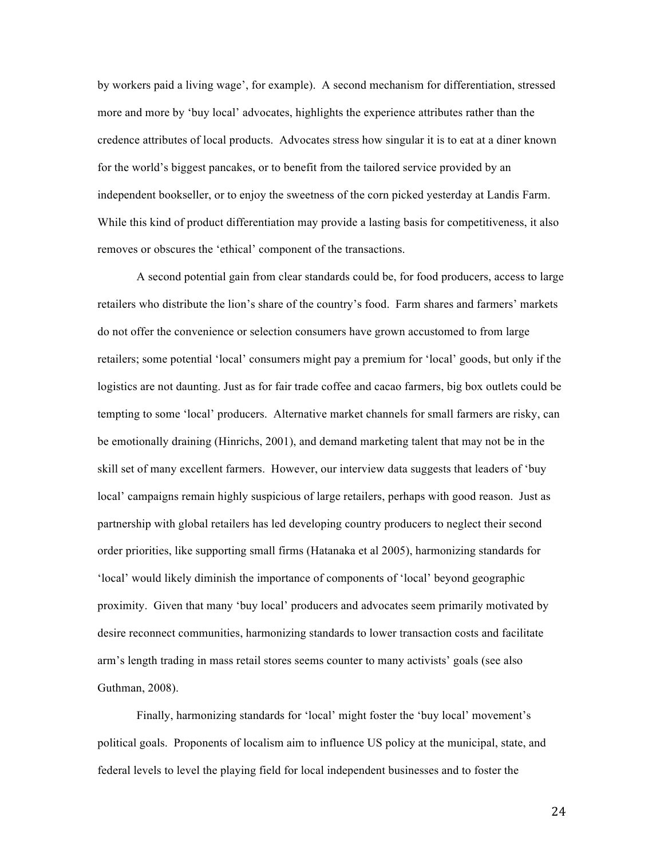by workers paid a living wage', for example). A second mechanism for differentiation, stressed more and more by 'buy local' advocates, highlights the experience attributes rather than the credence attributes of local products. Advocates stress how singular it is to eat at a diner known for the world's biggest pancakes, or to benefit from the tailored service provided by an independent bookseller, or to enjoy the sweetness of the corn picked yesterday at Landis Farm. While this kind of product differentiation may provide a lasting basis for competitiveness, it also removes or obscures the 'ethical' component of the transactions.

A second potential gain from clear standards could be, for food producers, access to large retailers who distribute the lion's share of the country's food. Farm shares and farmers' markets do not offer the convenience or selection consumers have grown accustomed to from large retailers; some potential 'local' consumers might pay a premium for 'local' goods, but only if the logistics are not daunting. Just as for fair trade coffee and cacao farmers, big box outlets could be tempting to some 'local' producers. Alternative market channels for small farmers are risky, can be emotionally draining (Hinrichs, 2001), and demand marketing talent that may not be in the skill set of many excellent farmers. However, our interview data suggests that leaders of 'buy local' campaigns remain highly suspicious of large retailers, perhaps with good reason. Just as partnership with global retailers has led developing country producers to neglect their second order priorities, like supporting small firms (Hatanaka et al 2005), harmonizing standards for 'local' would likely diminish the importance of components of 'local' beyond geographic proximity. Given that many 'buy local' producers and advocates seem primarily motivated by desire reconnect communities, harmonizing standards to lower transaction costs and facilitate arm's length trading in mass retail stores seems counter to many activists' goals (see also Guthman, 2008).

Finally, harmonizing standards for 'local' might foster the 'buy local' movement's political goals. Proponents of localism aim to influence US policy at the municipal, state, and federal levels to level the playing field for local independent businesses and to foster the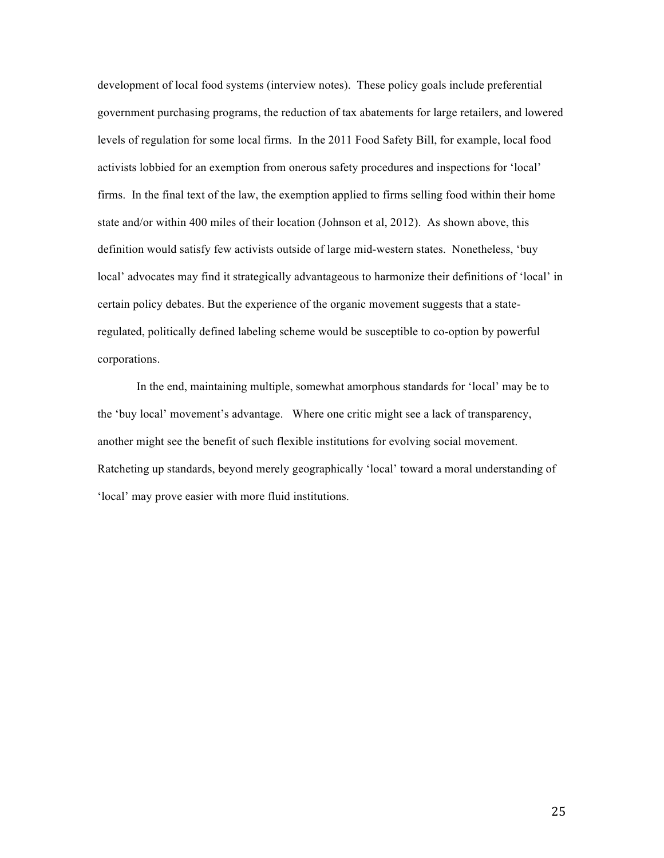development of local food systems (interview notes). These policy goals include preferential government purchasing programs, the reduction of tax abatements for large retailers, and lowered levels of regulation for some local firms. In the 2011 Food Safety Bill, for example, local food activists lobbied for an exemption from onerous safety procedures and inspections for 'local' firms. In the final text of the law, the exemption applied to firms selling food within their home state and/or within 400 miles of their location (Johnson et al, 2012). As shown above, this definition would satisfy few activists outside of large mid-western states. Nonetheless, 'buy local' advocates may find it strategically advantageous to harmonize their definitions of 'local' in certain policy debates. But the experience of the organic movement suggests that a stateregulated, politically defined labeling scheme would be susceptible to co-option by powerful corporations.

In the end, maintaining multiple, somewhat amorphous standards for 'local' may be to the 'buy local' movement's advantage. Where one critic might see a lack of transparency, another might see the benefit of such flexible institutions for evolving social movement. Ratcheting up standards, beyond merely geographically 'local' toward a moral understanding of 'local' may prove easier with more fluid institutions.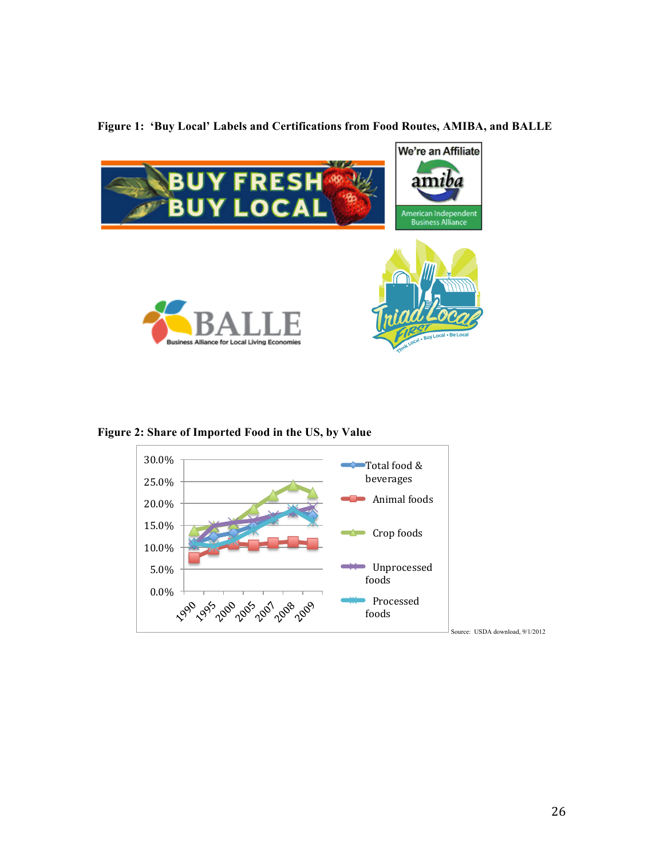

**Figure 1: 'Buy Local' Labels and Certifications from Food Routes, AMIBA, and BALLE**

**Figure 2: Share of Imported Food in the US, by Value**

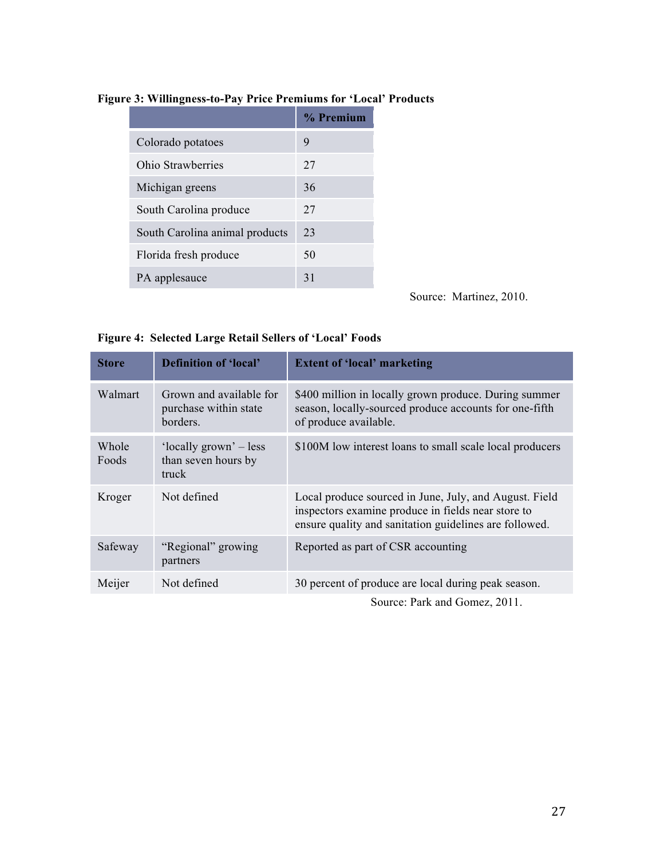|                                | % Premium |
|--------------------------------|-----------|
| Colorado potatoes              | 9         |
| Ohio Strawberries              | 27        |
| Michigan greens                | 36        |
| South Carolina produce         | 27        |
| South Carolina animal products | 23        |
| Florida fresh produce          | 50        |
| PA applesauce                  | 31        |

# **Figure 3: Willingness-to-Pay Price Premiums for 'Local' Products**

Source: Martinez, 2010.

| <b>Store</b>   | <b>Definition of 'local'</b>                                 | <b>Extent of 'local' marketing</b>                                                                                                                                     |
|----------------|--------------------------------------------------------------|------------------------------------------------------------------------------------------------------------------------------------------------------------------------|
| Walmart        | Grown and available for<br>purchase within state<br>borders. | \$400 million in locally grown produce. During summer<br>season, locally-sourced produce accounts for one-fifth<br>of produce available.                               |
| Whole<br>Foods | 'locally grown' – less<br>than seven hours by<br>truck       | \$100M low interest loans to small scale local producers                                                                                                               |
| Kroger         | Not defined                                                  | Local produce sourced in June, July, and August. Field<br>inspectors examine produce in fields near store to<br>ensure quality and sanitation guidelines are followed. |
| Safeway        | "Regional" growing<br>partners                               | Reported as part of CSR accounting                                                                                                                                     |
| Meijer         | Not defined                                                  | 30 percent of produce are local during peak season.                                                                                                                    |
|                |                                                              | Course Dark and Gamer 2011                                                                                                                                             |

# **Figure 4: Selected Large Retail Sellers of 'Local' Foods**

Source: Park and Gomez, 2011.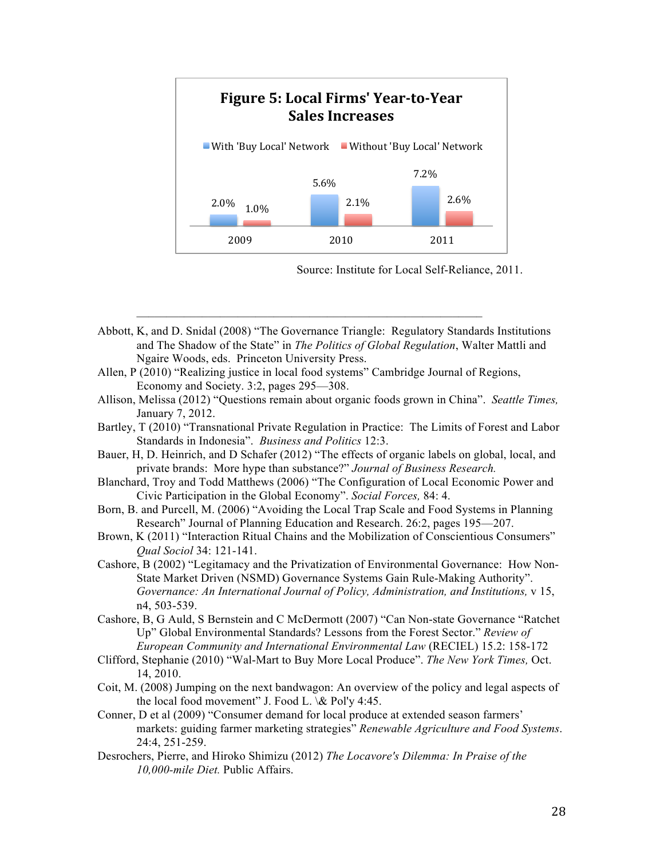

Source: Institute for Local Self-Reliance, 2011.

- Abbott, K, and D. Snidal (2008) "The Governance Triangle: Regulatory Standards Institutions and The Shadow of the State" in *The Politics of Global Regulation*, Walter Mattli and Ngaire Woods, eds. Princeton University Press.
- Allen, P (2010) "Realizing justice in local food systems" Cambridge Journal of Regions, Economy and Society. 3:2, pages 295—308.
- Allison, Melissa (2012) "Questions remain about organic foods grown in China". *Seattle Times,*  January 7, 2012.
- Bartley, T (2010) "Transnational Private Regulation in Practice: The Limits of Forest and Labor Standards in Indonesia". *Business and Politics* 12:3.
- Bauer, H, D. Heinrich, and D Schafer (2012) "The effects of organic labels on global, local, and private brands: More hype than substance?" *Journal of Business Research.*
- Blanchard, Troy and Todd Matthews (2006) "The Configuration of Local Economic Power and Civic Participation in the Global Economy". *Social Forces,* 84: 4.
- Born, B. and Purcell, M. (2006) "Avoiding the Local Trap Scale and Food Systems in Planning Research" Journal of Planning Education and Research. 26:2, pages 195—207.
- Brown, K (2011) "Interaction Ritual Chains and the Mobilization of Conscientious Consumers" *Qual Sociol* 34: 121-141.
- Cashore, B (2002) "Legitamacy and the Privatization of Environmental Governance: How Non-State Market Driven (NSMD) Governance Systems Gain Rule-Making Authority". *Governance: An International Journal of Policy, Administration, and Institutions,* v 15, n4, 503-539.
- Cashore, B, G Auld, S Bernstein and C McDermott (2007) "Can Non-state Governance "Ratchet Up" Global Environmental Standards? Lessons from the Forest Sector." *Review of European Community and International Environmental Law* (RECIEL) 15.2: 158-172
- Clifford, Stephanie (2010) "Wal-Mart to Buy More Local Produce". *The New York Times,* Oct. 14, 2010.
- Coit, M. (2008) Jumping on the next bandwagon: An overview of the policy and legal aspects of the local food movement" J. Food L.  $\&$  Pol'y 4:45.
- Conner, D et al (2009) "Consumer demand for local produce at extended season farmers' markets: guiding farmer marketing strategies" *Renewable Agriculture and Food Systems*. 24:4, 251-259.
- Desrochers, Pierre, and Hiroko Shimizu (2012) *The Locavore's Dilemma: In Praise of the 10,000-mile Diet.* Public Affairs.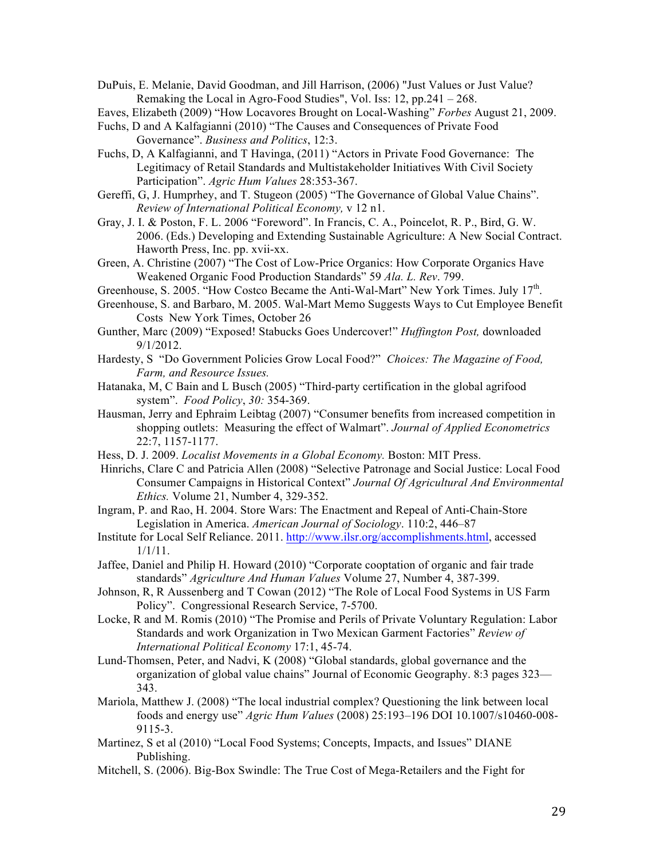DuPuis, E. Melanie, David Goodman, and Jill Harrison, (2006) "Just Values or Just Value? Remaking the Local in Agro-Food Studies", Vol. Iss: 12, pp.241 – 268.

Eaves, Elizabeth (2009) "How Locavores Brought on Local-Washing" *Forbes* August 21, 2009.

- Fuchs, D and A Kalfagianni (2010) "The Causes and Consequences of Private Food Governance". *Business and Politics*, 12:3.
- Fuchs, D, A Kalfagianni, and T Havinga, (2011) "Actors in Private Food Governance: The Legitimacy of Retail Standards and Multistakeholder Initiatives With Civil Society Participation". *Agric Hum Values* 28:353-367.
- Gereffi, G, J. Humprhey, and T. Stugeon (2005) "The Governance of Global Value Chains". *Review of International Political Economy,* v 12 n1.
- Gray, J. I. & Poston, F. L. 2006 "Foreword". In Francis, C. A., Poincelot, R. P., Bird, G. W. 2006. (Eds.) Developing and Extending Sustainable Agriculture: A New Social Contract. Haworth Press, Inc. pp. xvii-xx.
- Green, A. Christine (2007) "The Cost of Low-Price Organics: How Corporate Organics Have Weakened Organic Food Production Standards" 59 *Ala. L. Rev*. 799.
- Greenhouse, S. 2005. "How Costco Became the Anti-Wal-Mart" New York Times. July 17<sup>th</sup>.
- Greenhouse, S. and Barbaro, M. 2005. Wal-Mart Memo Suggests Ways to Cut Employee Benefit Costs New York Times, October 26
- Gunther, Marc (2009) "Exposed! Stabucks Goes Undercover!" *Huffington Post,* downloaded 9/1/2012.
- Hardesty, S "Do Government Policies Grow Local Food?" *Choices: The Magazine of Food, Farm, and Resource Issues.*
- Hatanaka, M, C Bain and L Busch (2005) "Third-party certification in the global agrifood system". *Food Policy*, *30:* 354-369.
- Hausman, Jerry and Ephraim Leibtag (2007) "Consumer benefits from increased competition in shopping outlets: Measuring the effect of Walmart". *Journal of Applied Econometrics* 22:7, 1157-1177.
- Hess, D. J. 2009. *Localist Movements in a Global Economy.* Boston: MIT Press.
- Hinrichs, Clare C and Patricia Allen (2008) "Selective Patronage and Social Justice: Local Food Consumer Campaigns in Historical Context" *Journal Of Agricultural And Environmental Ethics.* Volume 21, Number 4, 329-352.
- Ingram, P. and Rao, H. 2004. Store Wars: The Enactment and Repeal of Anti-Chain-Store Legislation in America. *American Journal of Sociology*. 110:2, 446–87
- Institute for Local Self Reliance. 2011. http://www.ilsr.org/accomplishments.html, accessed 1/1/11.
- Jaffee, Daniel and Philip H. Howard (2010) "Corporate cooptation of organic and fair trade standards" *Agriculture And Human Values* Volume 27, Number 4, 387-399.
- Johnson, R, R Aussenberg and T Cowan (2012) "The Role of Local Food Systems in US Farm Policy". Congressional Research Service, 7-5700.
- Locke, R and M. Romis (2010) "The Promise and Perils of Private Voluntary Regulation: Labor Standards and work Organization in Two Mexican Garment Factories" *Review of International Political Economy* 17:1, 45-74.
- Lund-Thomsen, Peter, and Nadvi, K (2008) "Global standards, global governance and the organization of global value chains" Journal of Economic Geography. 8:3 pages 323— 343.
- Mariola, Matthew J. (2008) "The local industrial complex? Questioning the link between local foods and energy use" *Agric Hum Values* (2008) 25:193–196 DOI 10.1007/s10460-008- 9115-3.
- Martinez, S et al (2010) "Local Food Systems; Concepts, Impacts, and Issues" DIANE Publishing.
- Mitchell, S. (2006). Big-Box Swindle: The True Cost of Mega-Retailers and the Fight for